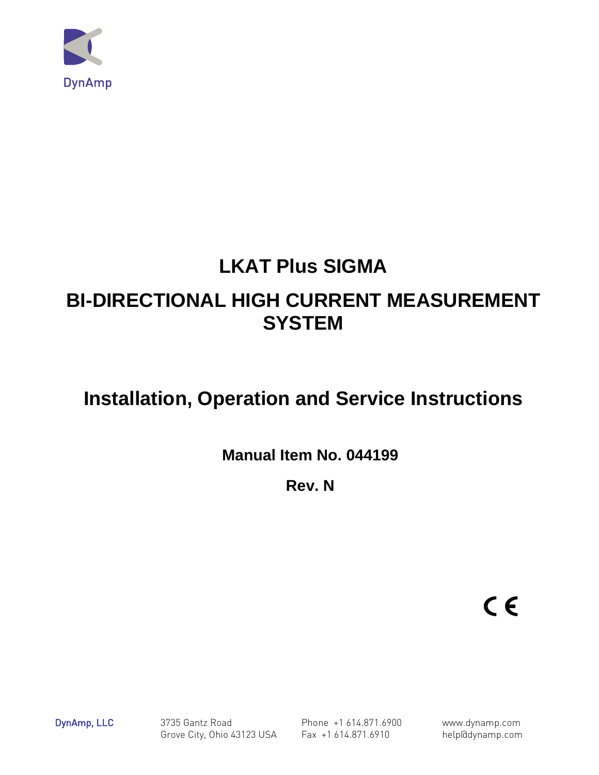

# **LKAT Plus SIGMA**

# **BI-DIRECTIONAL HIGH CURRENT MEASUREMENT SYSTEM**

# **Installation, Operation and Service Instructions**

**Manual Item No. 044199** 

**Rev. N** 

 $C \in$ 

DynAmp, LLC 3735 Gantz Road Phone +1 614.871.6900 www.dynamp.com Grove City, Ohio 43123 USA Fax +1 614.871.6910 help@dynamp.com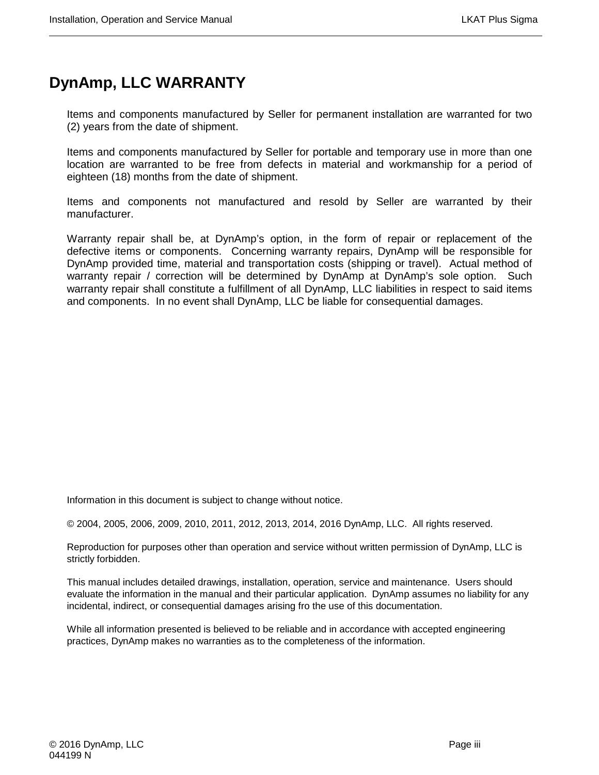# **DynAmp, LLC WARRANTY**

Items and components manufactured by Seller for permanent installation are warranted for two (2) years from the date of shipment.

Items and components manufactured by Seller for portable and temporary use in more than one location are warranted to be free from defects in material and workmanship for a period of eighteen (18) months from the date of shipment.

Items and components not manufactured and resold by Seller are warranted by their manufacturer.

Warranty repair shall be, at DynAmp's option, in the form of repair or replacement of the defective items or components. Concerning warranty repairs, DynAmp will be responsible for DynAmp provided time, material and transportation costs (shipping or travel). Actual method of warranty repair / correction will be determined by DynAmp at DynAmp's sole option. Such warranty repair shall constitute a fulfillment of all DynAmp, LLC liabilities in respect to said items and components. In no event shall DynAmp, LLC be liable for consequential damages.

Information in this document is subject to change without notice.

© 2004, 2005, 2006, 2009, 2010, 2011, 2012, 2013, 2014, 2016 DynAmp, LLC. All rights reserved.

Reproduction for purposes other than operation and service without written permission of DynAmp, LLC is strictly forbidden.

This manual includes detailed drawings, installation, operation, service and maintenance. Users should evaluate the information in the manual and their particular application. DynAmp assumes no liability for any incidental, indirect, or consequential damages arising fro the use of this documentation.

While all information presented is believed to be reliable and in accordance with accepted engineering practices, DynAmp makes no warranties as to the completeness of the information.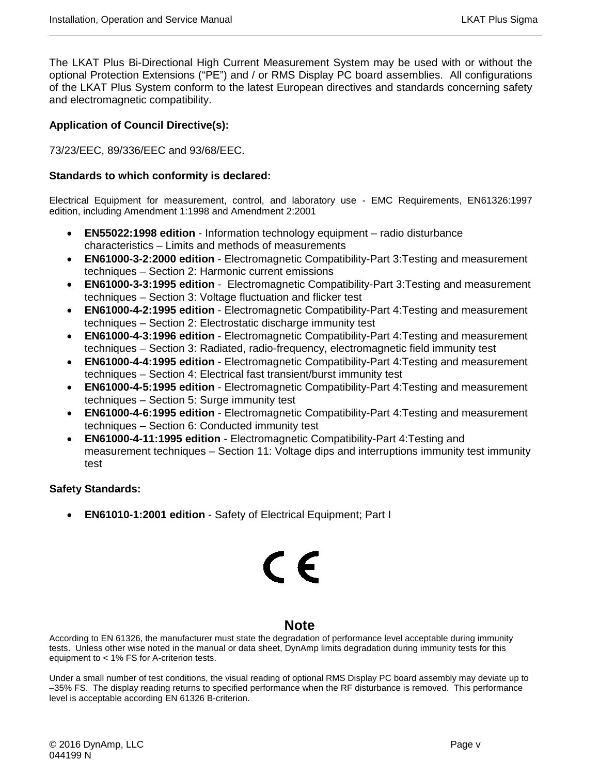The LKAT Plus Bi-Directional High Current Measurement System may be used with or without the optional Protection Extensions ("PE") and / or RMS Display PC board assemblies. All configurations of the LKAT Plus System conform to the latest European directives and standards concerning safety and electromagnetic compatibility.

#### **Application of Council Directive(s):**

73/23/EEC, 89/336/EEC and 93/68/EEC.

#### **Standards to which conformity is declared:**

Electrical Equipment for measurement, control, and laboratory use - EMC Requirements, EN61326:1997 edition, including Amendment 1:1998 and Amendment 2:2001

- **EN55022:1998 edition** Information technology equipment radio disturbance characteristics – Limits and methods of measurements
- **EN61000-3-2:2000 edition** Electromagnetic Compatibility-Part 3:Testing and measurement techniques – Section 2: Harmonic current emissions
- **EN61000-3-3:1995 edition** Electromagnetic Compatibility-Part 3:Testing and measurement techniques – Section 3: Voltage fluctuation and flicker test
- **EN61000-4-2:1995 edition** Electromagnetic Compatibility-Part 4:Testing and measurement techniques – Section 2: Electrostatic discharge immunity test
- **EN61000-4-3:1996 edition** Electromagnetic Compatibility-Part 4:Testing and measurement techniques – Section 3: Radiated, radio-frequency, electromagnetic field immunity test
- **EN61000-4-4:1995 edition** Electromagnetic Compatibility-Part 4:Testing and measurement techniques – Section 4: Electrical fast transient/burst immunity test
- **EN61000-4-5:1995 edition** Electromagnetic Compatibility-Part 4:Testing and measurement techniques – Section 5: Surge immunity test
- **EN61000-4-6:1995 edition** Electromagnetic Compatibility-Part 4:Testing and measurement techniques – Section 6: Conducted immunity test
- **EN61000-4-11:1995 edition** Electromagnetic Compatibility-Part 4:Testing and measurement techniques – Section 11: Voltage dips and interruptions immunity test immunity test

#### **Safety Standards:**

• **EN61010-1:2001 edition** - Safety of Electrical Equipment; Part I

# CE

# **Note**

According to EN 61326, the manufacturer must state the degradation of performance level acceptable during immunity tests. Unless other wise noted in the manual or data sheet, DynAmp limits degradation during immunity tests for this equipment to < 1% FS for A-criterion tests.

Under a small number of test conditions, the visual reading of optional RMS Display PC board assembly may deviate up to –35% FS. The display reading returns to specified performance when the RF disturbance is removed. This performance level is acceptable according EN 61326 B-criterion.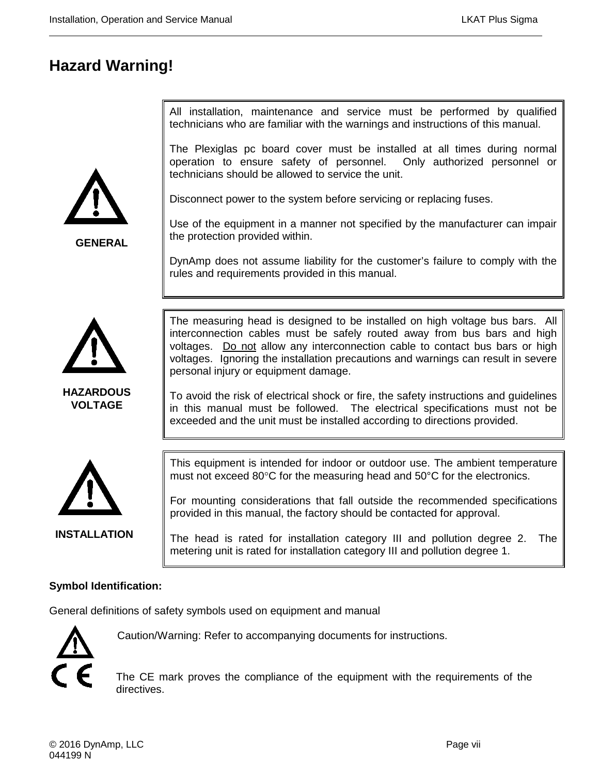# **Hazard Warning!**

All installation, maintenance and service must be performed by qualified technicians who are familiar with the warnings and instructions of this manual.

The Plexiglas pc board cover must be installed at all times during normal operation to ensure safety of personnel. Only authorized personnel or technicians should be allowed to service the unit.

Disconnect power to the system before servicing or replacing fuses.

Use of the equipment in a manner not specified by the manufacturer can impair the protection provided within.

DynAmp does not assume liability for the customer's failure to comply with the rules and requirements provided in this manual.



**GENERAL**

**HAZARDOUS VOLTAGE**

The measuring head is designed to be installed on high voltage bus bars. All interconnection cables must be safely routed away from bus bars and high voltages. Do not allow any interconnection cable to contact bus bars or high voltages. Ignoring the installation precautions and warnings can result in severe personal injury or equipment damage.

To avoid the risk of electrical shock or fire, the safety instructions and guidelines in this manual must be followed. The electrical specifications must not be exceeded and the unit must be installed according to directions provided.



**INSTALLATION**

This equipment is intended for indoor or outdoor use. The ambient temperature must not exceed 80°C for the measuring head and 50°C for the electronics.

For mounting considerations that fall outside the recommended specifications provided in this manual, the factory should be contacted for approval.

The head is rated for installation category III and pollution degree 2. The metering unit is rated for installation category III and pollution degree 1.

# **Symbol Identification:**

General definitions of safety symbols used on equipment and manual



Caution/Warning: Refer to accompanying documents for instructions.

The CE mark proves the compliance of the equipment with the requirements of the directives.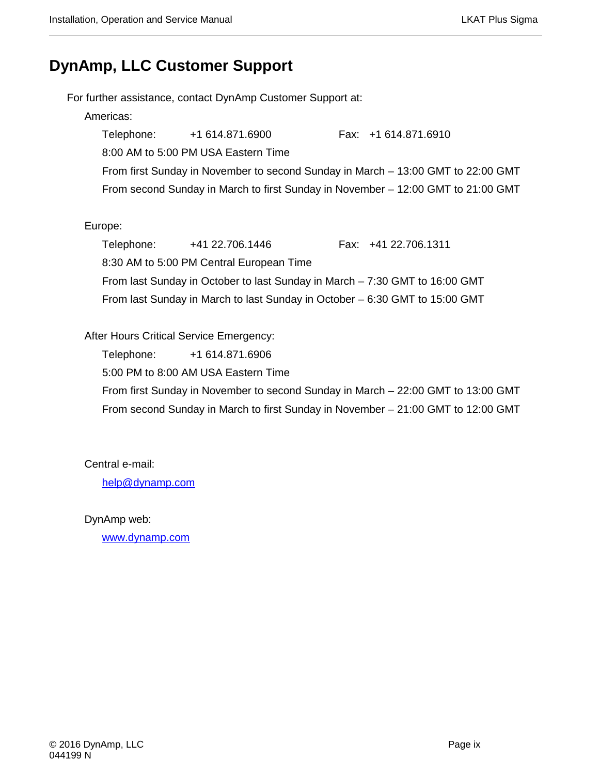# **DynAmp, LLC Customer Support**

For further assistance, contact DynAmp Customer Support at: Americas: Telephone: +1 614.871.6900 Fax: +1 614.871.6910 8:00 AM to 5:00 PM USA Eastern Time From first Sunday in November to second Sunday in March – 13:00 GMT to 22:00 GMT From second Sunday in March to first Sunday in November – 12:00 GMT to 21:00 GMT Europe: Telephone: +41 22.706.1446 Fax: +41 22.706.1311 8:30 AM to 5:00 PM Central European Time From last Sunday in October to last Sunday in March – 7:30 GMT to 16:00 GMT From last Sunday in March to last Sunday in October – 6:30 GMT to 15:00 GMT

After Hours Critical Service Emergency:

Telephone: +1 614.871.6906

5:00 PM to 8:00 AM USA Eastern Time

From first Sunday in November to second Sunday in March – 22:00 GMT to 13:00 GMT From second Sunday in March to first Sunday in November – 21:00 GMT to 12:00 GMT

Central e-mail:

[help@dynamp.com](mailto:help@dynamp.com)

DynAmp web:

[www.dynamp.com](http://www.dynamp.com/)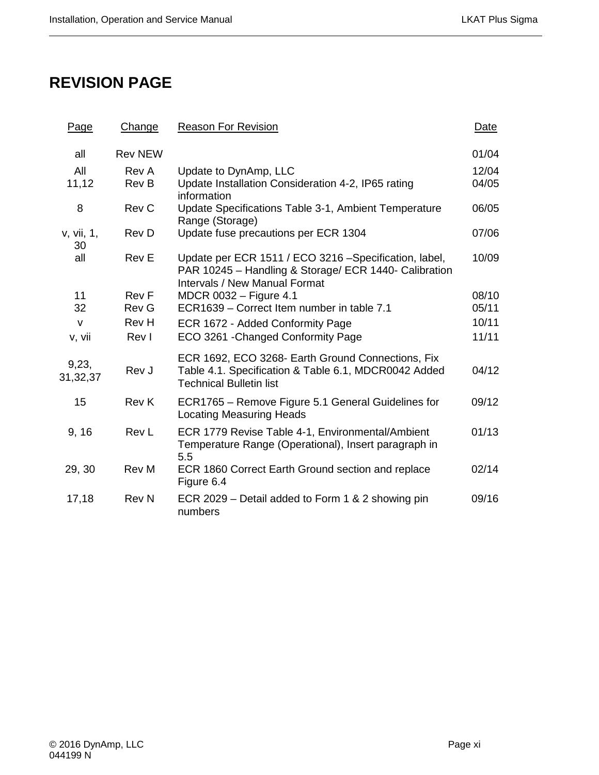# **REVISION PAGE**

| Page              | Change         | <b>Reason For Revision</b>                                                                                                                              | Date  |
|-------------------|----------------|---------------------------------------------------------------------------------------------------------------------------------------------------------|-------|
| all               | <b>Rev NEW</b> |                                                                                                                                                         | 01/04 |
| All               | Rev A          | Update to DynAmp, LLC                                                                                                                                   | 12/04 |
| 11,12             | Rev B          | Update Installation Consideration 4-2, IP65 rating<br>information                                                                                       | 04/05 |
| 8                 | Rev C          | Update Specifications Table 3-1, Ambient Temperature<br>Range (Storage)                                                                                 | 06/05 |
| v, vii, 1,<br>30  | Rev D          | Update fuse precautions per ECR 1304                                                                                                                    | 07/06 |
| all               | <b>Rev E</b>   | Update per ECR 1511 / ECO 3216 - Specification, label,<br>PAR 10245 - Handling & Storage/ ECR 1440- Calibration<br><b>Intervals / New Manual Format</b> | 10/09 |
| 11                | <b>Rev F</b>   | MDCR 0032 - Figure 4.1                                                                                                                                  | 08/10 |
| 32                | <b>Rev G</b>   | ECR1639 - Correct Item number in table 7.1                                                                                                              | 05/11 |
| $\mathsf{V}$      | Rev H          | ECR 1672 - Added Conformity Page                                                                                                                        | 10/11 |
| v, vii            | Rev I          | ECO 3261 - Changed Conformity Page                                                                                                                      | 11/11 |
| 9,23,<br>31,32,37 | Rev J          | ECR 1692, ECO 3268- Earth Ground Connections, Fix<br>Table 4.1. Specification & Table 6.1, MDCR0042 Added<br><b>Technical Bulletin list</b>             | 04/12 |
| 15                | <b>Rev K</b>   | ECR1765 – Remove Figure 5.1 General Guidelines for<br><b>Locating Measuring Heads</b>                                                                   | 09/12 |
| 9, 16             | Rev L          | ECR 1779 Revise Table 4-1, Environmental/Ambient<br>Temperature Range (Operational), Insert paragraph in<br>5.5                                         | 01/13 |
| 29, 30            | <b>Rev M</b>   | ECR 1860 Correct Earth Ground section and replace<br>Figure 6.4                                                                                         | 02/14 |
| 17,18             | <b>Rev N</b>   | ECR 2029 – Detail added to Form 1 & 2 showing pin<br>numbers                                                                                            | 09/16 |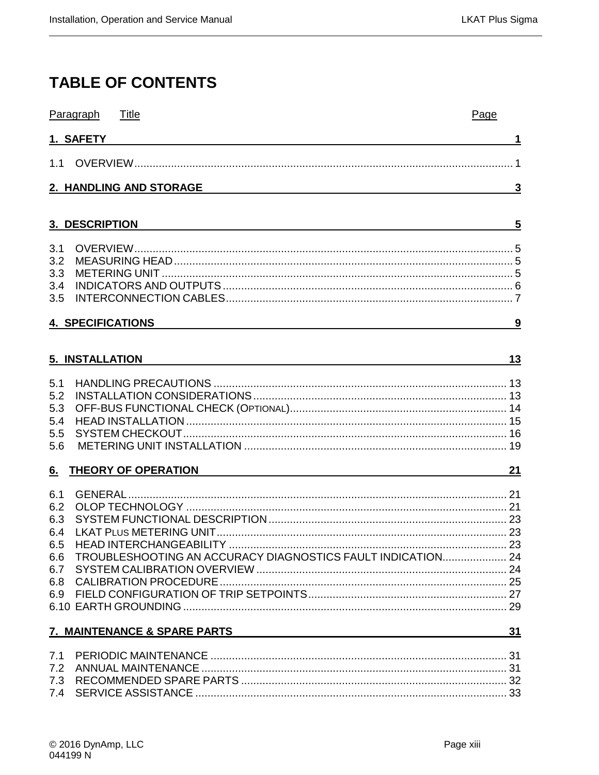# **TABLE OF CONTENTS**

|            | Paragraph<br>Title                                                                                                                                                                                                                    | Page         |
|------------|---------------------------------------------------------------------------------------------------------------------------------------------------------------------------------------------------------------------------------------|--------------|
|            | 1. SAFETY                                                                                                                                                                                                                             | 1            |
|            |                                                                                                                                                                                                                                       |              |
|            | 2. HANDLING AND STORAGE                                                                                                                                                                                                               | $\mathbf{3}$ |
|            |                                                                                                                                                                                                                                       |              |
|            | 3. DESCRI <u>ption and the community of the community of the community of the community of the community of the community of the community of the community of the community of the community of the community of the community o</u> | 5            |
|            |                                                                                                                                                                                                                                       |              |
| 3.2        |                                                                                                                                                                                                                                       |              |
| 3.3        |                                                                                                                                                                                                                                       |              |
| 3.4        |                                                                                                                                                                                                                                       |              |
| 3.5        |                                                                                                                                                                                                                                       |              |
|            | <b>4. SPECIFICATIONS</b>                                                                                                                                                                                                              | 9            |
|            |                                                                                                                                                                                                                                       |              |
|            | 5. INSTALLATION<br><u> 1989 - Johann Barbara, martxa alemaniar argametria (h. 1989).</u>                                                                                                                                              | 13           |
|            |                                                                                                                                                                                                                                       |              |
| 5.1        |                                                                                                                                                                                                                                       |              |
| 5.2<br>5.3 |                                                                                                                                                                                                                                       |              |
| 5.4        |                                                                                                                                                                                                                                       |              |
| 5.5        |                                                                                                                                                                                                                                       |              |
| 5.6        |                                                                                                                                                                                                                                       |              |
|            | 6. THEORY OF OPERATION                                                                                                                                                                                                                | 21           |
| 6.1        |                                                                                                                                                                                                                                       |              |
| 6.2        |                                                                                                                                                                                                                                       |              |
| 6.3        |                                                                                                                                                                                                                                       |              |
| 6.4        |                                                                                                                                                                                                                                       |              |
|            |                                                                                                                                                                                                                                       |              |
|            | 6.6 TROUBLESHOOTING AN ACCURACY DIAGNOSTICS FAULT INDICATION 24                                                                                                                                                                       |              |
|            |                                                                                                                                                                                                                                       |              |
|            |                                                                                                                                                                                                                                       |              |
|            |                                                                                                                                                                                                                                       |              |
|            |                                                                                                                                                                                                                                       |              |
|            | <b>7. MAINTENANCE &amp; SPARE PARTS</b>                                                                                                                                                                                               | 31           |
|            |                                                                                                                                                                                                                                       |              |
|            |                                                                                                                                                                                                                                       |              |
|            |                                                                                                                                                                                                                                       |              |
|            |                                                                                                                                                                                                                                       |              |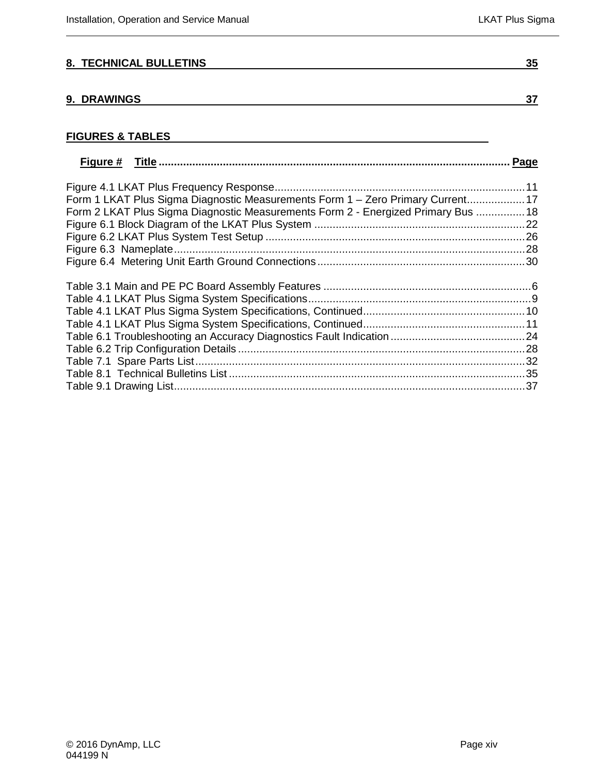# **[8. TECHNICAL BULLETINS](#page-48-0) 35**

### **[9. DRAWINGS](#page-50-0) 37**

# **FIGURES & TABLES**

|                                                                                   | Page |
|-----------------------------------------------------------------------------------|------|
|                                                                                   |      |
| Form 1 LKAT Plus Sigma Diagnostic Measurements Form 1 - Zero Primary Current 17   |      |
| Form 2 LKAT Plus Sigma Diagnostic Measurements Form 2 - Energized Primary Bus  18 |      |
|                                                                                   |      |
|                                                                                   |      |
|                                                                                   |      |
|                                                                                   |      |
|                                                                                   |      |
|                                                                                   |      |
|                                                                                   |      |
|                                                                                   |      |
|                                                                                   |      |
|                                                                                   |      |
|                                                                                   |      |
|                                                                                   |      |
|                                                                                   |      |
|                                                                                   |      |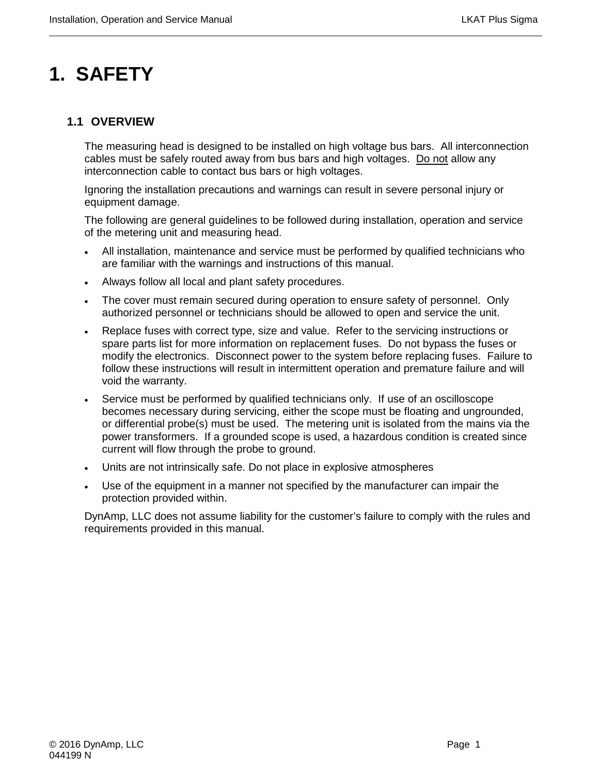# <span id="page-14-0"></span>**1. SAFETY**

# <span id="page-14-1"></span>**1.1 OVERVIEW**

The measuring head is designed to be installed on high voltage bus bars. All interconnection cables must be safely routed away from bus bars and high voltages. Do not allow any interconnection cable to contact bus bars or high voltages.

Ignoring the installation precautions and warnings can result in severe personal injury or equipment damage.

The following are general guidelines to be followed during installation, operation and service of the metering unit and measuring head.

- All installation, maintenance and service must be performed by qualified technicians who are familiar with the warnings and instructions of this manual.
- Always follow all local and plant safety procedures.
- The cover must remain secured during operation to ensure safety of personnel. Only authorized personnel or technicians should be allowed to open and service the unit.
- Replace fuses with correct type, size and value. Refer to the servicing instructions or spare parts list for more information on replacement fuses. Do not bypass the fuses or modify the electronics. Disconnect power to the system before replacing fuses. Failure to follow these instructions will result in intermittent operation and premature failure and will void the warranty.
- Service must be performed by qualified technicians only. If use of an oscilloscope becomes necessary during servicing, either the scope must be floating and ungrounded, or differential probe(s) must be used. The metering unit is isolated from the mains via the power transformers. If a grounded scope is used, a hazardous condition is created since current will flow through the probe to ground.
- Units are not intrinsically safe. Do not place in explosive atmospheres
- Use of the equipment in a manner not specified by the manufacturer can impair the protection provided within.

DynAmp, LLC does not assume liability for the customer's failure to comply with the rules and requirements provided in this manual.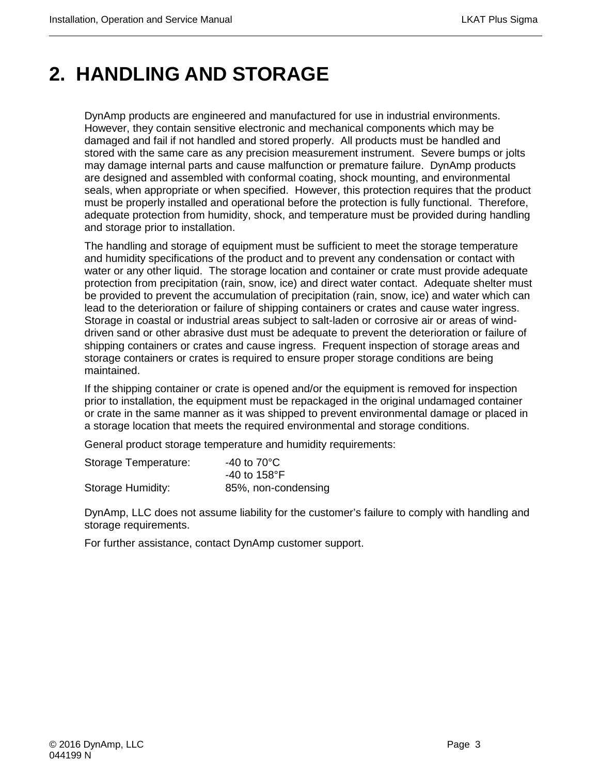# <span id="page-16-0"></span>**2. HANDLING AND STORAGE**

DynAmp products are engineered and manufactured for use in industrial environments. However, they contain sensitive electronic and mechanical components which may be damaged and fail if not handled and stored properly. All products must be handled and stored with the same care as any precision measurement instrument. Severe bumps or jolts may damage internal parts and cause malfunction or premature failure. DynAmp products are designed and assembled with conformal coating, shock mounting, and environmental seals, when appropriate or when specified. However, this protection requires that the product must be properly installed and operational before the protection is fully functional. Therefore, adequate protection from humidity, shock, and temperature must be provided during handling and storage prior to installation.

The handling and storage of equipment must be sufficient to meet the storage temperature and humidity specifications of the product and to prevent any condensation or contact with water or any other liquid. The storage location and container or crate must provide adequate protection from precipitation (rain, snow, ice) and direct water contact. Adequate shelter must be provided to prevent the accumulation of precipitation (rain, snow, ice) and water which can lead to the deterioration or failure of shipping containers or crates and cause water ingress. Storage in coastal or industrial areas subject to salt-laden or corrosive air or areas of winddriven sand or other abrasive dust must be adequate to prevent the deterioration or failure of shipping containers or crates and cause ingress. Frequent inspection of storage areas and storage containers or crates is required to ensure proper storage conditions are being maintained.

If the shipping container or crate is opened and/or the equipment is removed for inspection prior to installation, the equipment must be repackaged in the original undamaged container or crate in the same manner as it was shipped to prevent environmental damage or placed in a storage location that meets the required environmental and storage conditions.

General product storage temperature and humidity requirements:

| Storage Temperature: | $-40$ to $70^{\circ}$ C |  |
|----------------------|-------------------------|--|
|                      | -40 to 158°F            |  |
| Storage Humidity:    | 85%, non-condensing     |  |

DynAmp, LLC does not assume liability for the customer's failure to comply with handling and storage requirements.

For further assistance, contact DynAmp customer support.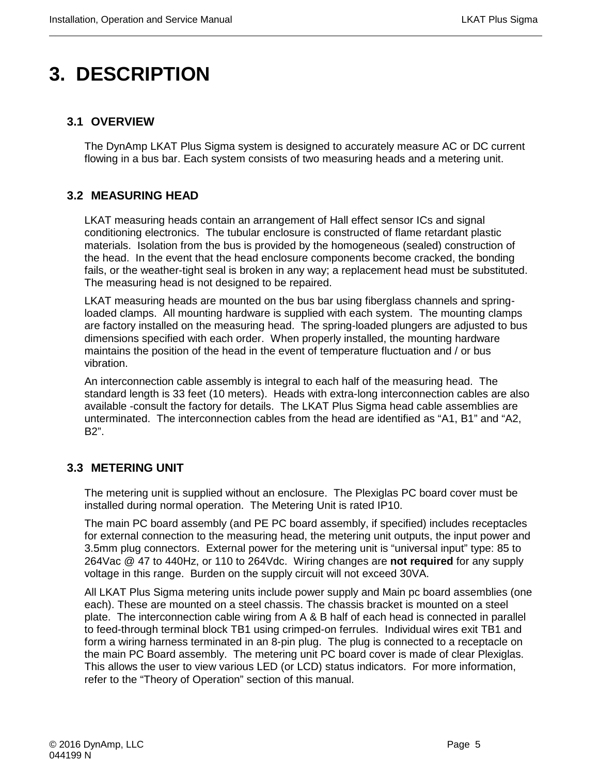# <span id="page-18-0"></span>**3. DESCRIPTION**

# <span id="page-18-1"></span>**3.1 OVERVIEW**

The DynAmp LKAT Plus Sigma system is designed to accurately measure AC or DC current flowing in a bus bar. Each system consists of two measuring heads and a metering unit.

# <span id="page-18-2"></span>**3.2 MEASURING HEAD**

LKAT measuring heads contain an arrangement of Hall effect sensor ICs and signal conditioning electronics. The tubular enclosure is constructed of flame retardant plastic materials. Isolation from the bus is provided by the homogeneous (sealed) construction of the head. In the event that the head enclosure components become cracked, the bonding fails, or the weather-tight seal is broken in any way; a replacement head must be substituted. The measuring head is not designed to be repaired.

LKAT measuring heads are mounted on the bus bar using fiberglass channels and springloaded clamps. All mounting hardware is supplied with each system. The mounting clamps are factory installed on the measuring head. The spring-loaded plungers are adjusted to bus dimensions specified with each order. When properly installed, the mounting hardware maintains the position of the head in the event of temperature fluctuation and / or bus vibration.

An interconnection cable assembly is integral to each half of the measuring head. The standard length is 33 feet (10 meters). Heads with extra-long interconnection cables are also available -consult the factory for details. The LKAT Plus Sigma head cable assemblies are unterminated. The interconnection cables from the head are identified as "A1, B1" and "A2, B2".

# <span id="page-18-3"></span>**3.3 METERING UNIT**

The metering unit is supplied without an enclosure. The Plexiglas PC board cover must be installed during normal operation. The Metering Unit is rated IP10.

The main PC board assembly (and PE PC board assembly, if specified) includes receptacles for external connection to the measuring head, the metering unit outputs, the input power and 3.5mm plug connectors. External power for the metering unit is "universal input" type: 85 to 264Vac @ 47 to 440Hz, or 110 to 264Vdc. Wiring changes are **not required** for any supply voltage in this range. Burden on the supply circuit will not exceed 30VA.

All LKAT Plus Sigma metering units include power supply and Main pc board assemblies (one each). These are mounted on a steel chassis. The chassis bracket is mounted on a steel plate. The interconnection cable wiring from A & B half of each head is connected in parallel to feed-through terminal block TB1 using crimped-on ferrules. Individual wires exit TB1 and form a wiring harness terminated in an 8-pin plug. The plug is connected to a receptacle on the main PC Board assembly. The metering unit PC board cover is made of clear Plexiglas. This allows the user to view various LED (or LCD) status indicators. For more information, refer to the "Theory of Operation" section of this manual.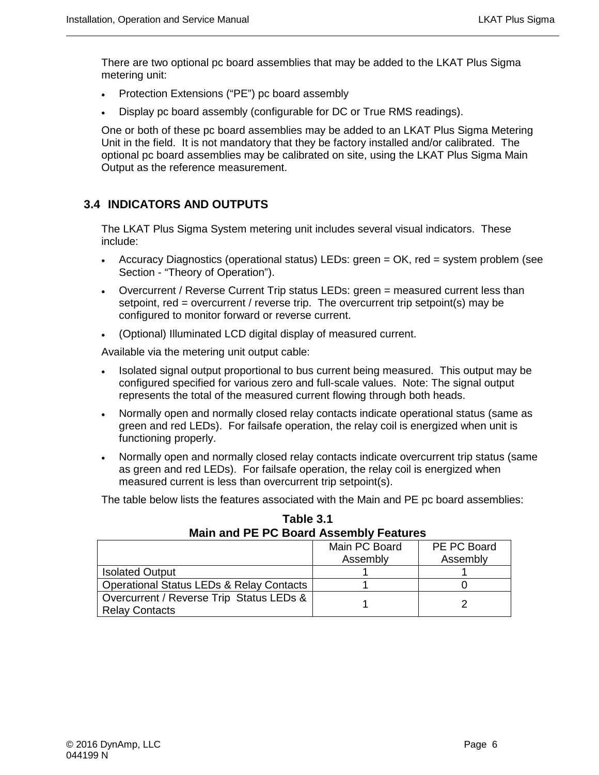There are two optional pc board assemblies that may be added to the LKAT Plus Sigma metering unit:

- Protection Extensions ("PE") pc board assembly
- Display pc board assembly (configurable for DC or True RMS readings).

One or both of these pc board assemblies may be added to an LKAT Plus Sigma Metering Unit in the field. It is not mandatory that they be factory installed and/or calibrated. The optional pc board assemblies may be calibrated on site, using the LKAT Plus Sigma Main Output as the reference measurement.

# <span id="page-19-0"></span>**3.4 INDICATORS AND OUTPUTS**

The LKAT Plus Sigma System metering unit includes several visual indicators. These include:

- Accuracy Diagnostics (operational status) LEDs: green = OK, red = system problem (see Section - "Theory of Operation").
- Overcurrent / Reverse Current Trip status LEDs: green = measured current less than setpoint, red = overcurrent / reverse trip. The overcurrent trip setpoint(s) may be configured to monitor forward or reverse current.
- (Optional) Illuminated LCD digital display of measured current.

Available via the metering unit output cable:

- Isolated signal output proportional to bus current being measured. This output may be configured specified for various zero and full-scale values. Note: The signal output represents the total of the measured current flowing through both heads.
- Normally open and normally closed relay contacts indicate operational status (same as green and red LEDs). For failsafe operation, the relay coil is energized when unit is functioning properly.
- Normally open and normally closed relay contacts indicate overcurrent trip status (same as green and red LEDs). For failsafe operation, the relay coil is energized when measured current is less than overcurrent trip setpoint(s).

The table below lists the features associated with the Main and PE pc board assemblies:

| Main and PE PC Board Assembly Features              |               |             |
|-----------------------------------------------------|---------------|-------------|
|                                                     | Main PC Board | PE PC Board |
|                                                     | Assembly      | Assembly    |
| <b>Isolated Output</b>                              |               |             |
| <b>Operational Status LEDs &amp; Relay Contacts</b> |               |             |
| Overcurrent / Reverse Trip Status LEDs &            |               |             |
| <b>Relay Contacts</b>                               |               |             |

**Table 3.1 Main and PE PC Board Assembly Features**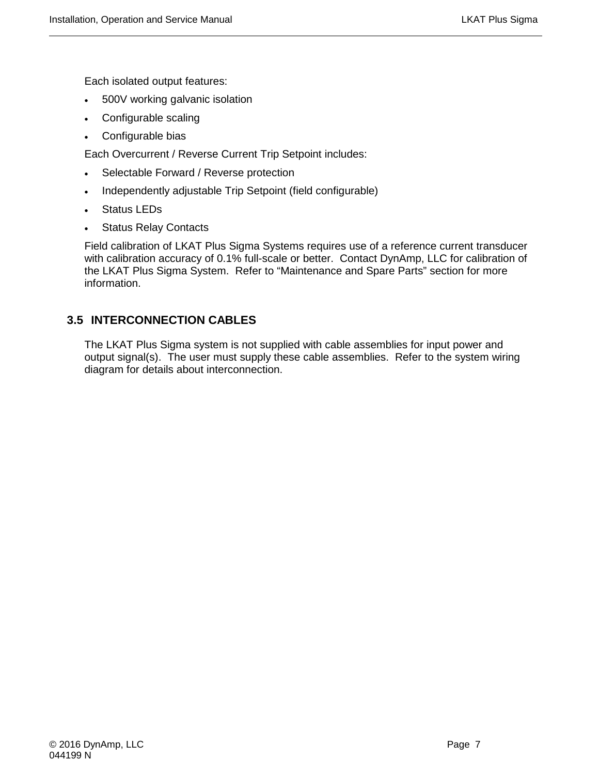Each isolated output features:

- 500V working galvanic isolation
- Configurable scaling
- Configurable bias

Each Overcurrent / Reverse Current Trip Setpoint includes:

- Selectable Forward / Reverse protection
- Independently adjustable Trip Setpoint (field configurable)
- Status LEDs
- **Status Relay Contacts**

Field calibration of LKAT Plus Sigma Systems requires use of a reference current transducer with calibration accuracy of 0.1% full-scale or better. Contact DynAmp, LLC for calibration of the LKAT Plus Sigma System. Refer to "Maintenance and Spare Parts" section for more information.

# <span id="page-20-0"></span>**3.5 INTERCONNECTION CABLES**

The LKAT Plus Sigma system is not supplied with cable assemblies for input power and output signal(s). The user must supply these cable assemblies. Refer to the system wiring diagram for details about interconnection.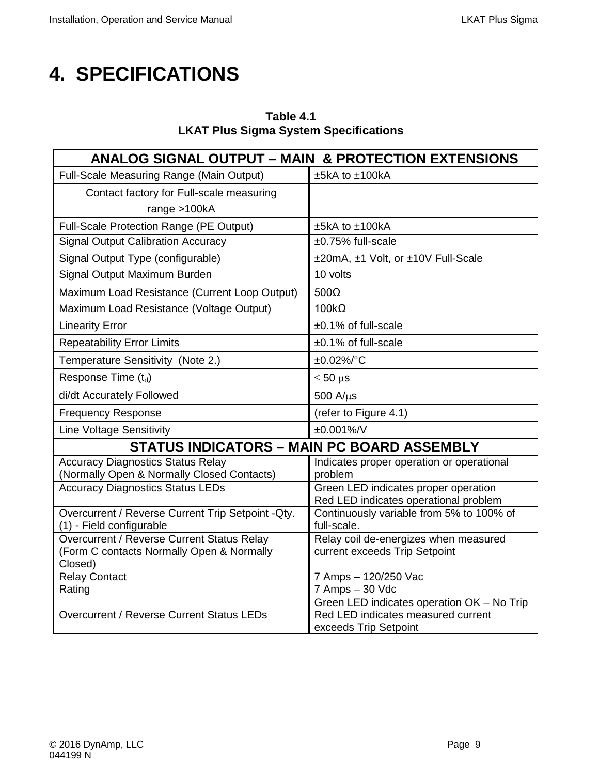# <span id="page-22-0"></span>**4. SPECIFICATIONS**

| Table 4.1                                    |
|----------------------------------------------|
| <b>LKAT Plus Sigma System Specifications</b> |

| <b>ANALOG SIGNAL OUTPUT - MAIN &amp; PROTECTION EXTENSIONS</b>                          |                                                                                  |  |
|-----------------------------------------------------------------------------------------|----------------------------------------------------------------------------------|--|
| Full-Scale Measuring Range (Main Output)                                                | ±5kA to ±100kA                                                                   |  |
| Contact factory for Full-scale measuring                                                |                                                                                  |  |
| range $>100kA$                                                                          |                                                                                  |  |
| Full-Scale Protection Range (PE Output)                                                 | $±5kA$ to $±100kA$                                                               |  |
| <b>Signal Output Calibration Accuracy</b>                                               | ±0.75% full-scale                                                                |  |
| Signal Output Type (configurable)                                                       | ±20mA, ±1 Volt, or ±10V Full-Scale                                               |  |
| Signal Output Maximum Burden                                                            | 10 volts                                                                         |  |
| Maximum Load Resistance (Current Loop Output)                                           | $500\Omega$                                                                      |  |
| Maximum Load Resistance (Voltage Output)                                                | $100k\Omega$                                                                     |  |
| <b>Linearity Error</b>                                                                  | ±0.1% of full-scale                                                              |  |
| <b>Repeatability Error Limits</b>                                                       | ±0.1% of full-scale                                                              |  |
| Temperature Sensitivity (Note 2.)                                                       | ±0.02%/°C                                                                        |  |
| Response Time (td)                                                                      | $\leq 50$ µs                                                                     |  |
| di/dt Accurately Followed                                                               | $500 A/\mu s$                                                                    |  |
| <b>Frequency Response</b>                                                               | (refer to Figure 4.1)                                                            |  |
| <b>Line Voltage Sensitivity</b>                                                         | $±0.001\%$ /V                                                                    |  |
| <b>STATUS INDICATORS - MAIN PC BOARD ASSEMBLY</b>                                       |                                                                                  |  |
| <b>Accuracy Diagnostics Status Relay</b>                                                | Indicates proper operation or operational<br>problem                             |  |
| (Normally Open & Normally Closed Contacts)<br><b>Accuracy Diagnostics Status LEDs</b>   | Green LED indicates proper operation                                             |  |
|                                                                                         | Red LED indicates operational problem                                            |  |
| Overcurrent / Reverse Current Trip Setpoint - Qty.<br>(1) - Field configurable          | Continuously variable from 5% to 100% of<br>full-scale.                          |  |
| Overcurrent / Reverse Current Status Relay<br>(Form C contacts Normally Open & Normally | Relay coil de-energizes when measured<br>current exceeds Trip Setpoint           |  |
| Closed)                                                                                 |                                                                                  |  |
| <b>Relay Contact</b>                                                                    | 7 Amps - 120/250 Vac                                                             |  |
| Rating                                                                                  | 7 Amps - 30 Vdc                                                                  |  |
| Overcurrent / Reverse Current Status LEDs                                               | Green LED indicates operation OK - No Trip<br>Red LED indicates measured current |  |
|                                                                                         | exceeds Trip Setpoint                                                            |  |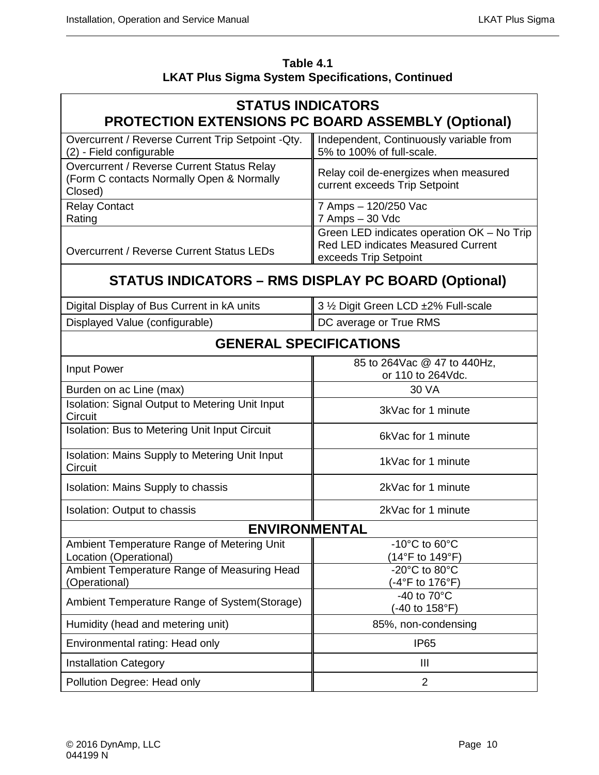| Table 4.1                                               |
|---------------------------------------------------------|
| <b>LKAT Plus Sigma System Specifications, Continued</b> |

# **STATUS INDICATORS PROTECTION EXTENSIONS PC BOARD ASSEMBLY (Optional)**

| Overcurrent / Reverse Current Trip Setpoint - Qty.                                                 | Independent, Continuously variable from                                                                   |
|----------------------------------------------------------------------------------------------------|-----------------------------------------------------------------------------------------------------------|
| (2) - Field configurable                                                                           | 5% to 100% of full-scale.                                                                                 |
| Overcurrent / Reverse Current Status Relay<br>(Form C contacts Normally Open & Normally<br>Closed) | Relay coil de-energizes when measured<br>current exceeds Trip Setpoint                                    |
| <b>Relay Contact</b>                                                                               | 7 Amps - 120/250 Vac                                                                                      |
| Rating                                                                                             | 7 Amps - 30 Vdc                                                                                           |
| <b>Overcurrent / Reverse Current Status LEDs</b>                                                   | Green LED indicates operation OK - No Trip<br>Red LED indicates Measured Current<br>exceeds Trip Setpoint |

# **STATUS INDICATORS – RMS DISPLAY PC BOARD (Optional)**

| Digital Display of Bus Current in kA units | 3 1/2 Digit Green LCD ±2% Full-scale |
|--------------------------------------------|--------------------------------------|
| Displayed Value (configurable)             | DC average or True RMS               |

# **GENERAL SPECIFICATIONS**

| Input Power                                                          | 85 to 264 Vac @ 47 to 440 Hz,<br>or 110 to 264Vdc.    |
|----------------------------------------------------------------------|-------------------------------------------------------|
| Burden on ac Line (max)                                              | 30 VA                                                 |
| <b>Isolation: Signal Output to Metering Unit Input</b><br>Circuit    | 3kVac for 1 minute                                    |
| Isolation: Bus to Metering Unit Input Circuit                        | 6kVac for 1 minute                                    |
| Isolation: Mains Supply to Metering Unit Input<br>Circuit            | 1kVac for 1 minute                                    |
| Isolation: Mains Supply to chassis                                   | 2kVac for 1 minute                                    |
| Isolation: Output to chassis                                         | 2kVac for 1 minute                                    |
| <b>ENVIRONMENTAL</b>                                                 |                                                       |
| Ambient Temperature Range of Metering Unit<br>Location (Operational) | $-10^{\circ}$ C to 60 $^{\circ}$ C<br>(14°F to 149°F) |
| Ambient Temperature Range of Measuring Head<br>(Operational)         | $-20^{\circ}$ C to 80 $^{\circ}$ C<br>(-4°F to 176°F) |
| Ambient Temperature Range of System (Storage)                        | -40 to $70^{\circ}$ C<br>(-40 to 158°F)               |
| Humidity (head and metering unit)                                    | 85%, non-condensing                                   |
| Environmental rating: Head only                                      | IP <sub>65</sub>                                      |
| <b>Installation Category</b>                                         | Ш                                                     |
| Pollution Degree: Head only                                          | 2                                                     |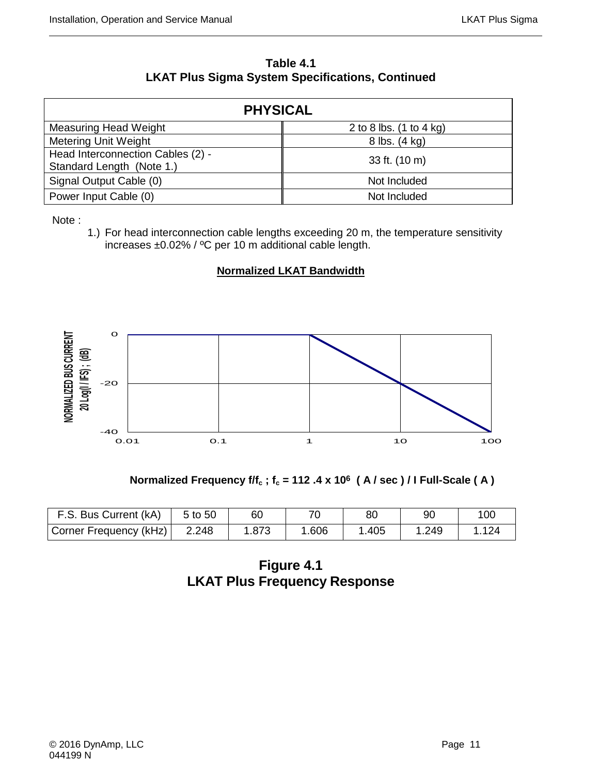| Table 4.1                                               |
|---------------------------------------------------------|
| <b>LKAT Plus Sigma System Specifications, Continued</b> |

| <b>PHYSICAL</b>                                                |                           |  |  |  |  |  |  |
|----------------------------------------------------------------|---------------------------|--|--|--|--|--|--|
| <b>Measuring Head Weight</b>                                   | 2 to 8 lbs. $(1 to 4 kg)$ |  |  |  |  |  |  |
| Metering Unit Weight                                           | 8 lbs. (4 kg)             |  |  |  |  |  |  |
| Head Interconnection Cables (2) -<br>Standard Length (Note 1.) | 33 ft. (10 m)             |  |  |  |  |  |  |
| Signal Output Cable (0)                                        | Not Included              |  |  |  |  |  |  |
| Power Input Cable (0)                                          | Not Included              |  |  |  |  |  |  |

Note :

1.) For head interconnection cable lengths exceeding 20 m, the temperature sensitivity increases ±0.02% / ºC per 10 m additional cable length.

# **Normalized LKAT Bandwidth**



 **Normalized Frequency f/f<sub>c</sub>; f<sub>c</sub> = 112 .4 x 10<sup>6</sup> (A / sec ) / I Full-Scale (A)** 

| F.S. Bus Current (kA)  | 5 to 50 | 60    |       | 80   |      | 100  |
|------------------------|---------|-------|-------|------|------|------|
| Corner Frequency (kHz) | 2.248   | 1.873 | 1.606 | .405 | .249 | .124 |

**Figure 4.1 LKAT Plus Frequency Response**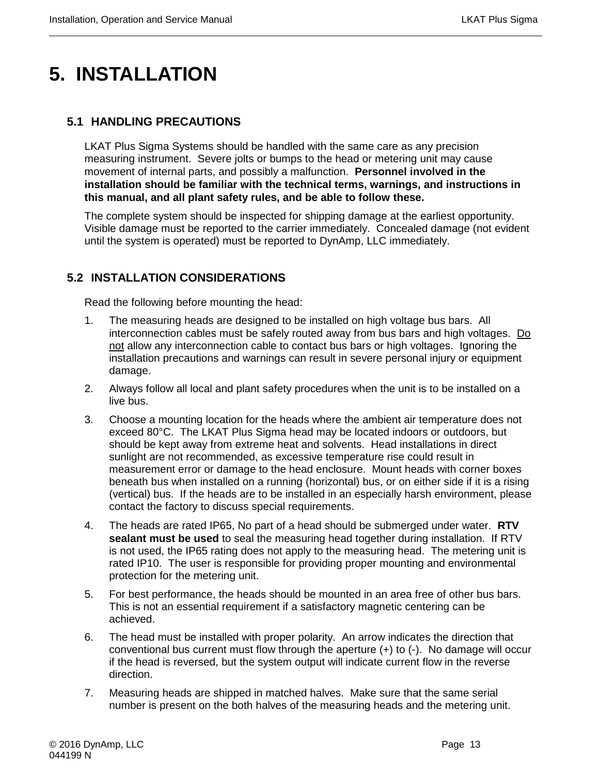# <span id="page-26-0"></span>**5. INSTALLATION**

# <span id="page-26-1"></span>**5.1 HANDLING PRECAUTIONS**

LKAT Plus Sigma Systems should be handled with the same care as any precision measuring instrument. Severe jolts or bumps to the head or metering unit may cause movement of internal parts, and possibly a malfunction. **Personnel involved in the installation should be familiar with the technical terms, warnings, and instructions in this manual, and all plant safety rules, and be able to follow these.**

The complete system should be inspected for shipping damage at the earliest opportunity. Visible damage must be reported to the carrier immediately. Concealed damage (not evident until the system is operated) must be reported to DynAmp, LLC immediately.

# <span id="page-26-2"></span>**5.2 INSTALLATION CONSIDERATIONS**

Read the following before mounting the head:

- 1. The measuring heads are designed to be installed on high voltage bus bars. All interconnection cables must be safely routed away from bus bars and high voltages. Do not allow any interconnection cable to contact bus bars or high voltages. Ignoring the installation precautions and warnings can result in severe personal injury or equipment damage.
- 2. Always follow all local and plant safety procedures when the unit is to be installed on a live bus.
- 3. Choose a mounting location for the heads where the ambient air temperature does not exceed 80°C. The LKAT Plus Sigma head may be located indoors or outdoors, but should be kept away from extreme heat and solvents. Head installations in direct sunlight are not recommended, as excessive temperature rise could result in measurement error or damage to the head enclosure. Mount heads with corner boxes beneath bus when installed on a running (horizontal) bus, or on either side if it is a rising (vertical) bus. If the heads are to be installed in an especially harsh environment, please contact the factory to discuss special requirements.
- 4. The heads are rated IP65, No part of a head should be submerged under water. **RTV sealant must be used** to seal the measuring head together during installation. If RTV is not used, the IP65 rating does not apply to the measuring head. The metering unit is rated IP10. The user is responsible for providing proper mounting and environmental protection for the metering unit.
- 5. For best performance, the heads should be mounted in an area free of other bus bars. This is not an essential requirement if a satisfactory magnetic centering can be achieved.
- 6. The head must be installed with proper polarity. An arrow indicates the direction that conventional bus current must flow through the aperture  $(+)$  to  $(-)$ . No damage will occur if the head is reversed, but the system output will indicate current flow in the reverse direction.
- 7. Measuring heads are shipped in matched halves. Make sure that the same serial number is present on the both halves of the measuring heads and the metering unit.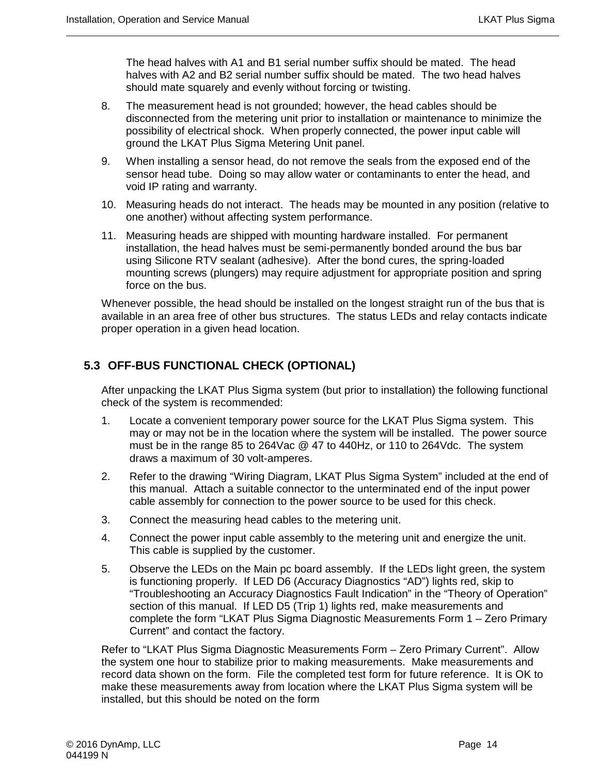The head halves with A1 and B1 serial number suffix should be mated. The head halves with A2 and B2 serial number suffix should be mated. The two head halves should mate squarely and evenly without forcing or twisting.

- 8. The measurement head is not grounded; however, the head cables should be disconnected from the metering unit prior to installation or maintenance to minimize the possibility of electrical shock. When properly connected, the power input cable will ground the LKAT Plus Sigma Metering Unit panel.
- 9. When installing a sensor head, do not remove the seals from the exposed end of the sensor head tube. Doing so may allow water or contaminants to enter the head, and void IP rating and warranty.
- 10. Measuring heads do not interact. The heads may be mounted in any position (relative to one another) without affecting system performance.
- 11. Measuring heads are shipped with mounting hardware installed. For permanent installation, the head halves must be semi-permanently bonded around the bus bar using Silicone RTV sealant (adhesive). After the bond cures, the spring-loaded mounting screws (plungers) may require adjustment for appropriate position and spring force on the bus.

Whenever possible, the head should be installed on the longest straight run of the bus that is available in an area free of other bus structures. The status LEDs and relay contacts indicate proper operation in a given head location.

# <span id="page-27-0"></span>**5.3 OFF-BUS FUNCTIONAL CHECK (OPTIONAL)**

After unpacking the LKAT Plus Sigma system (but prior to installation) the following functional check of the system is recommended:

- 1. Locate a convenient temporary power source for the LKAT Plus Sigma system. This may or may not be in the location where the system will be installed. The power source must be in the range 85 to 264Vac @ 47 to 440Hz, or 110 to 264Vdc. The system draws a maximum of 30 volt-amperes.
- 2. Refer to the drawing "Wiring Diagram, LKAT Plus Sigma System" included at the end of this manual. Attach a suitable connector to the unterminated end of the input power cable assembly for connection to the power source to be used for this check.
- 3. Connect the measuring head cables to the metering unit.
- 4. Connect the power input cable assembly to the metering unit and energize the unit. This cable is supplied by the customer.
- 5. Observe the LEDs on the Main pc board assembly. If the LEDs light green, the system is functioning properly. If LED D6 (Accuracy Diagnostics "AD") lights red, skip to "Troubleshooting an Accuracy Diagnostics Fault Indication" in the "Theory of Operation" section of this manual. If LED D5 (Trip 1) lights red, make measurements and complete the form "LKAT Plus Sigma Diagnostic Measurements Form 1 – Zero Primary Current" and contact the factory.

Refer to "LKAT Plus Sigma Diagnostic Measurements Form – Zero Primary Current". Allow the system one hour to stabilize prior to making measurements. Make measurements and record data shown on the form. File the completed test form for future reference. It is OK to make these measurements away from location where the LKAT Plus Sigma system will be installed, but this should be noted on the form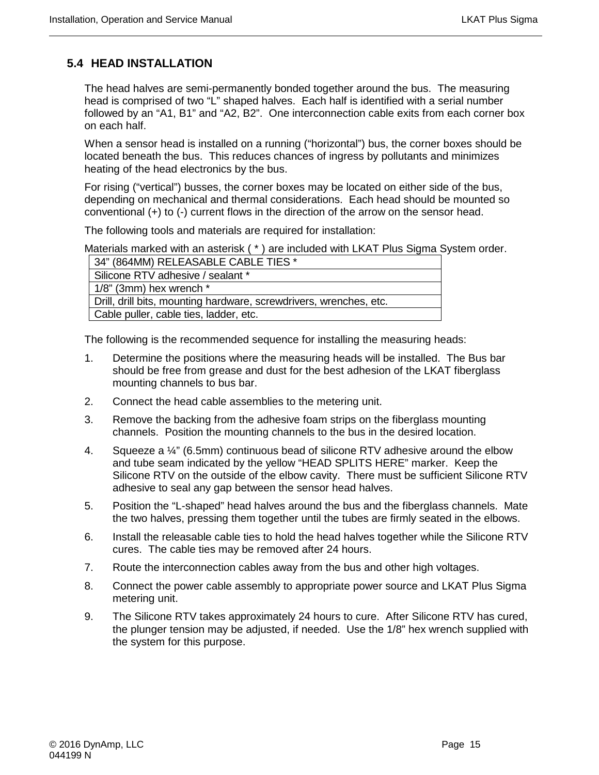# <span id="page-28-0"></span>**5.4 HEAD INSTALLATION**

The head halves are semi-permanently bonded together around the bus. The measuring head is comprised of two "L" shaped halves. Each half is identified with a serial number followed by an "A1, B1" and "A2, B2". One interconnection cable exits from each corner box on each half.

When a sensor head is installed on a running ("horizontal") bus, the corner boxes should be located beneath the bus. This reduces chances of ingress by pollutants and minimizes heating of the head electronics by the bus.

For rising ("vertical") busses, the corner boxes may be located on either side of the bus, depending on mechanical and thermal considerations. Each head should be mounted so conventional (+) to (-) current flows in the direction of the arrow on the sensor head.

The following tools and materials are required for installation:

Materials marked with an asterisk ( \* ) are included with LKAT Plus Sigma System order.

| 34" (864MM) RELEASABLE CABLE TIES *                                |
|--------------------------------------------------------------------|
| Silicone RTV adhesive / sealant *                                  |
| $1/8$ " (3mm) hex wrench $*$                                       |
| Drill, drill bits, mounting hardware, screwdrivers, wrenches, etc. |
| Cable puller, cable ties, ladder, etc.                             |

The following is the recommended sequence for installing the measuring heads:

- 1. Determine the positions where the measuring heads will be installed. The Bus bar should be free from grease and dust for the best adhesion of the LKAT fiberglass mounting channels to bus bar.
- 2. Connect the head cable assemblies to the metering unit.
- 3. Remove the backing from the adhesive foam strips on the fiberglass mounting channels. Position the mounting channels to the bus in the desired location.
- 4. Squeeze a ¼" (6.5mm) continuous bead of silicone RTV adhesive around the elbow and tube seam indicated by the yellow "HEAD SPLITS HERE" marker. Keep the Silicone RTV on the outside of the elbow cavity. There must be sufficient Silicone RTV adhesive to seal any gap between the sensor head halves.
- 5. Position the "L-shaped" head halves around the bus and the fiberglass channels. Mate the two halves, pressing them together until the tubes are firmly seated in the elbows.
- 6. Install the releasable cable ties to hold the head halves together while the Silicone RTV cures. The cable ties may be removed after 24 hours.
- 7. Route the interconnection cables away from the bus and other high voltages.
- 8. Connect the power cable assembly to appropriate power source and LKAT Plus Sigma metering unit.
- 9. The Silicone RTV takes approximately 24 hours to cure. After Silicone RTV has cured, the plunger tension may be adjusted, if needed. Use the 1/8" hex wrench supplied with the system for this purpose.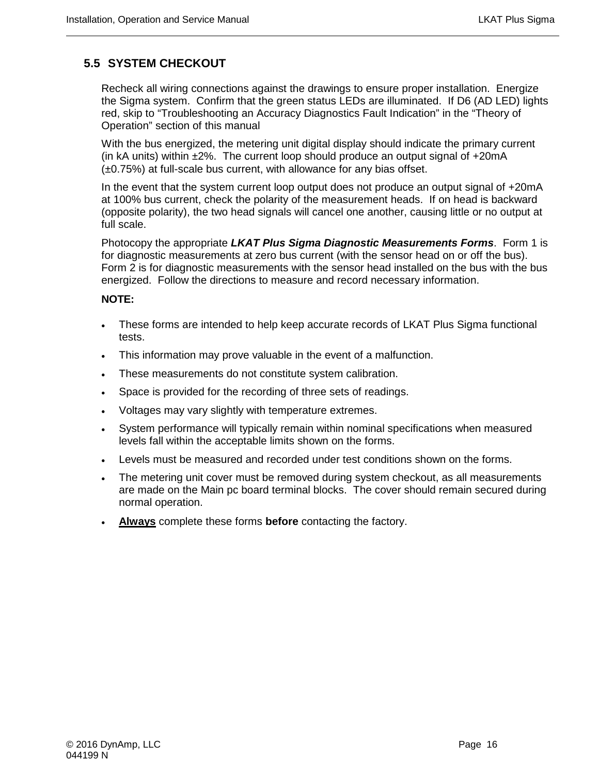# <span id="page-29-0"></span>**5.5 SYSTEM CHECKOUT**

Recheck all wiring connections against the drawings to ensure proper installation. Energize the Sigma system. Confirm that the green status LEDs are illuminated. If D6 (AD LED) lights red, skip to "Troubleshooting an Accuracy Diagnostics Fault Indication" in the "Theory of Operation" section of this manual

With the bus energized, the metering unit digital display should indicate the primary current (in kA units) within ±2%. The current loop should produce an output signal of +20mA (±0.75%) at full-scale bus current, with allowance for any bias offset.

In the event that the system current loop output does not produce an output signal of +20mA at 100% bus current, check the polarity of the measurement heads. If on head is backward (opposite polarity), the two head signals will cancel one another, causing little or no output at full scale.

Photocopy the appropriate *LKAT Plus Sigma Diagnostic Measurements Forms*. Form 1 is for diagnostic measurements at zero bus current (with the sensor head on or off the bus). Form 2 is for diagnostic measurements with the sensor head installed on the bus with the bus energized. Follow the directions to measure and record necessary information.

#### **NOTE:**

- These forms are intended to help keep accurate records of LKAT Plus Sigma functional tests.
- This information may prove valuable in the event of a malfunction.
- These measurements do not constitute system calibration.
- Space is provided for the recording of three sets of readings.
- Voltages may vary slightly with temperature extremes.
- System performance will typically remain within nominal specifications when measured levels fall within the acceptable limits shown on the forms.
- Levels must be measured and recorded under test conditions shown on the forms.
- The metering unit cover must be removed during system checkout, as all measurements are made on the Main pc board terminal blocks. The cover should remain secured during normal operation.
- **Always** complete these forms **before** contacting the factory.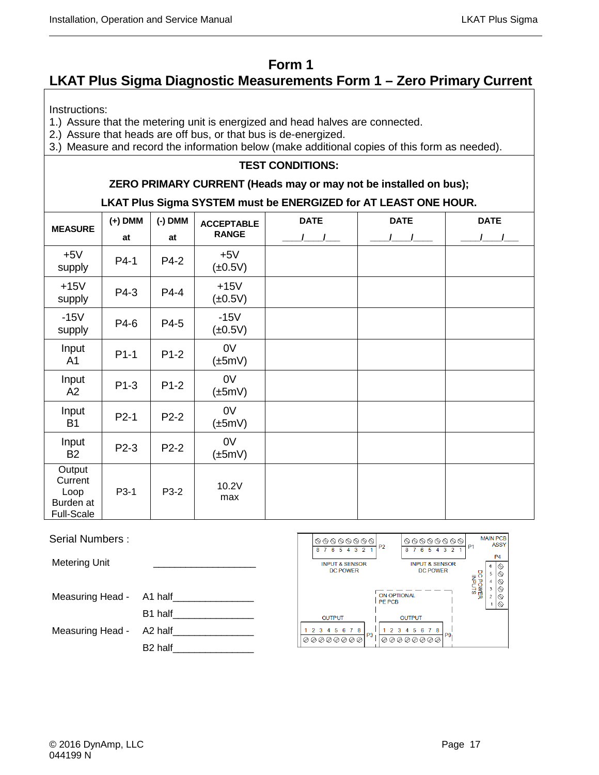# **Form 1**

# **LKAT Plus Sigma Diagnostic Measurements Form 1 – Zero Primary Current**

Instructions:

1.) Assure that the metering unit is energized and head halves are connected.

2.) Assure that heads are off bus, or that bus is de-energized.

3.) Measure and record the information below (make additional copies of this form as needed).

### **TEST CONDITIONS:**

#### **ZERO PRIMARY CURRENT (Heads may or may not be installed on bus);**

#### **LKAT Plus Sigma SYSTEM must be ENERGIZED for AT LEAST ONE HOUR.**

| <b>MEASURE</b>                                              | $(+)$ DMM | (-) DMM | <b>ACCEPTABLE</b>      | <b>DATE</b> | <b>DATE</b> | <b>DATE</b> |
|-------------------------------------------------------------|-----------|---------|------------------------|-------------|-------------|-------------|
|                                                             | at        | at      | <b>RANGE</b>           |             |             |             |
| $+5V$<br>supply                                             | P4-1      | P4-2    | $+5V$<br>$(\pm 0.5V)$  |             |             |             |
| $+15V$<br>supply                                            | P4-3      | P4-4    | $+15V$<br>$(\pm 0.5V)$ |             |             |             |
| $-15V$<br>supply                                            | P4-6      | P4-5    | $-15V$<br>$(\pm 0.5V)$ |             |             |             |
| Input<br>A1                                                 | $P1-1$    | $P1-2$  | 0V<br>$(\pm 5mV)$      |             |             |             |
| Input<br>A2                                                 | P1-3      | $P1-2$  | 0V<br>$(\pm 5mV)$      |             |             |             |
| Input<br><b>B1</b>                                          | $P2-1$    | $P2-2$  | 0V<br>$(\pm 5mV)$      |             |             |             |
| Input<br>B <sub>2</sub>                                     | P2-3      | P2-2    | 0V<br>$(\pm 5mV)$      |             |             |             |
| Output<br>Current<br>Loop<br>Burden at<br><b>Full-Scale</b> | P3-1      | P3-2    | 10.2V<br>max           |             |             |             |

| Serial Numbers:      |                     | 00000000<br>P <sub>2</sub><br>8 7 6 5 4 3 2  | 00000000<br>6 5 4 3 2 1                      |
|----------------------|---------------------|----------------------------------------------|----------------------------------------------|
| <b>Metering Unit</b> |                     | <b>INPUT &amp; SENSOR</b><br><b>DC POWER</b> | <b>INPUT &amp; SENSOR</b><br><b>DC POWER</b> |
| Measuring Head -     | A1 half             | <b>ON OPTIONAL</b><br><b>PE PCB</b>          |                                              |
|                      | B1 half             | <b>OUTPUT</b>                                | <b>OUTPUT</b>                                |
| Measuring Head -     | A2 half             | 2 3 4 5 6 7 8<br>P3                          | 3 4 5 6 7 8<br>P <sub>9</sub>                |
|                      | B <sub>2</sub> half | 00000000                                     | 00000000                                     |

**MAIN PCB** 

**ASSY** 

 $P<sub>4</sub>$ 

 $\textcircled{\circ} \textcircled{\circ} \textcircled{\circ} \textcircled{\circ}$ 

DC POWER<br>INPUTS  $\overline{5}$  $\mathfrak z$  $\bar{z}$ Q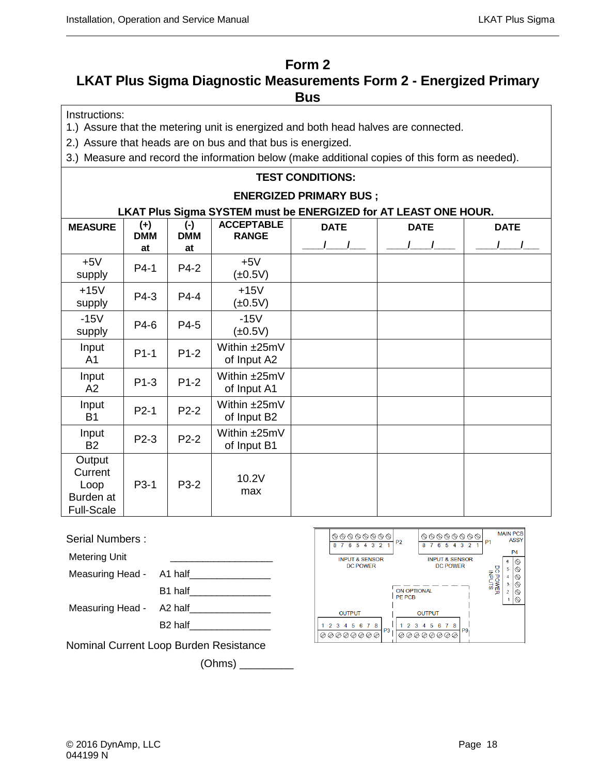# **Form 2**

# **LKAT Plus Sigma Diagnostic Measurements Form 2 - Energized Primary Bus**

Instructions:

1.) Assure that the metering unit is energized and both head halves are connected.

2.) Assure that heads are on bus and that bus is energized.

3.) Measure and record the information below (make additional copies of this form as needed).

### **TEST CONDITIONS:**

#### **ENERGIZED PRIMARY BUS ;**

### **LKAT Plus Sigma SYSTEM must be ENERGIZED for AT LEAST ONE HOUR.**

| <b>MEASURE</b>                                              | $(+)$            | $(\cdot)$         | <b>ACCEPTABLE</b>           | <b>DATE</b> | <b>DATE</b> | <b>DATE</b> |
|-------------------------------------------------------------|------------------|-------------------|-----------------------------|-------------|-------------|-------------|
|                                                             | <b>DMM</b><br>at | <b>DMM</b><br>at  | <b>RANGE</b>                |             |             |             |
| $+5V$<br>supply                                             | P4-1             | P4-2              | $+5V$<br>$(\pm 0.5V)$       |             |             |             |
| $+15V$<br>supply                                            | P4-3             | P4-4              | $+15V$<br>$(\pm 0.5V)$      |             |             |             |
| $-15V$<br>supply                                            | P4-6             | P4-5              | $-15V$<br>$(\pm 0.5V)$      |             |             |             |
| Input<br>A <sub>1</sub>                                     | $P1-1$           | $P1-2$            | Within ±25mV<br>of Input A2 |             |             |             |
| Input<br>A2                                                 | $P1-3$           | $P1-2$            | Within ±25mV<br>of Input A1 |             |             |             |
| Input<br><b>B1</b>                                          | $P2-1$           | $P2-2$            | Within ±25mV<br>of Input B2 |             |             |             |
| Input<br><b>B2</b>                                          | P2-3             | $P2-2$            | Within ±25mV<br>of Input B1 |             |             |             |
| Output<br>Current<br>Loop<br>Burden at<br><b>Full-Scale</b> | P3-1             | P <sub>3</sub> -2 | 10.2V<br>max                |             |             |             |

Serial Numbers :

Metering Unit

Measuring Head -

Measuring Head -

| A1 half             |  |
|---------------------|--|
| B1 half             |  |
| A2 half             |  |
| B <sub>2</sub> half |  |

Nominal Current Loop Burden Resistance

(Ohms) \_\_\_\_\_\_\_\_\_

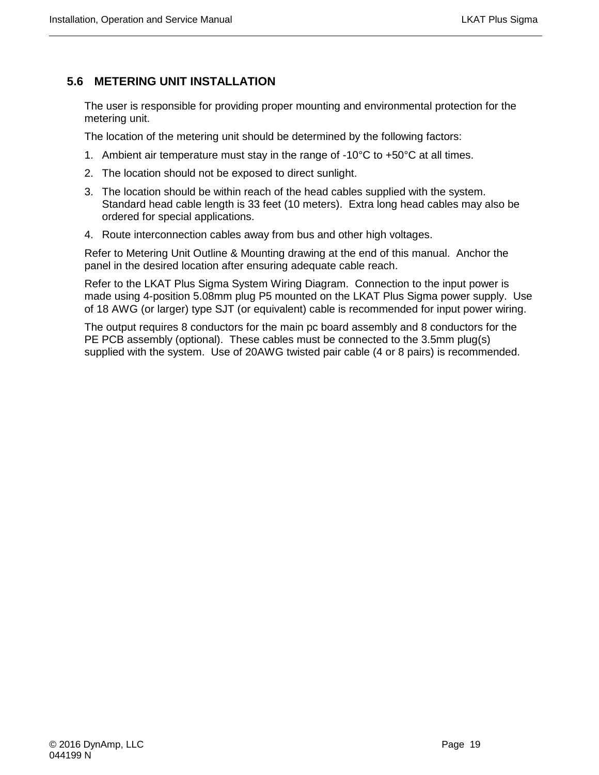# <span id="page-32-0"></span>**5.6 METERING UNIT INSTALLATION**

The user is responsible for providing proper mounting and environmental protection for the metering unit.

The location of the metering unit should be determined by the following factors:

- 1. Ambient air temperature must stay in the range of  $-10^{\circ}$ C to  $+50^{\circ}$ C at all times.
- 2. The location should not be exposed to direct sunlight.
- 3. The location should be within reach of the head cables supplied with the system. Standard head cable length is 33 feet (10 meters). Extra long head cables may also be ordered for special applications.
- 4. Route interconnection cables away from bus and other high voltages.

Refer to Metering Unit Outline & Mounting drawing at the end of this manual. Anchor the panel in the desired location after ensuring adequate cable reach.

Refer to the LKAT Plus Sigma System Wiring Diagram. Connection to the input power is made using 4-position 5.08mm plug P5 mounted on the LKAT Plus Sigma power supply. Use of 18 AWG (or larger) type SJT (or equivalent) cable is recommended for input power wiring.

The output requires 8 conductors for the main pc board assembly and 8 conductors for the PE PCB assembly (optional). These cables must be connected to the 3.5mm plug(s) supplied with the system. Use of 20AWG twisted pair cable (4 or 8 pairs) is recommended.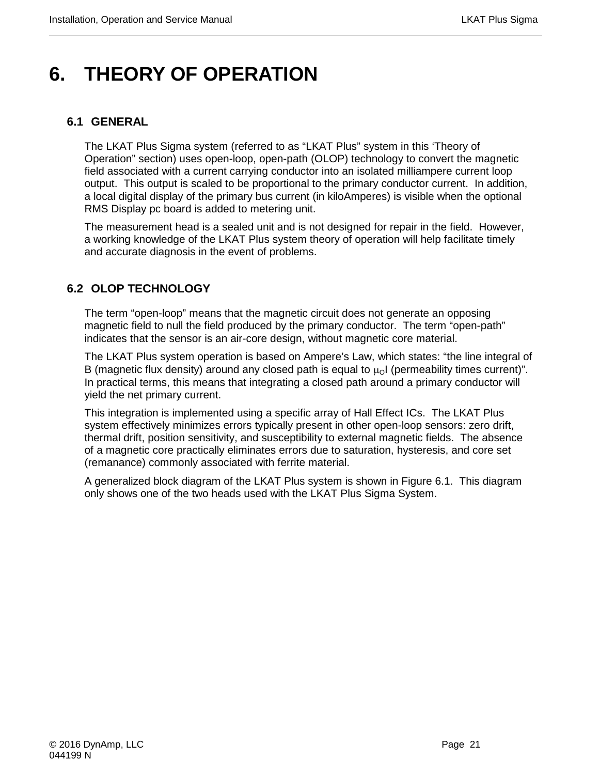# <span id="page-34-0"></span>**6. THEORY OF OPERATION**

### <span id="page-34-1"></span>**6.1 GENERAL**

The LKAT Plus Sigma system (referred to as "LKAT Plus" system in this 'Theory of Operation" section) uses open-loop, open-path (OLOP) technology to convert the magnetic field associated with a current carrying conductor into an isolated milliampere current loop output. This output is scaled to be proportional to the primary conductor current. In addition, a local digital display of the primary bus current (in kiloAmperes) is visible when the optional RMS Display pc board is added to metering unit.

The measurement head is a sealed unit and is not designed for repair in the field. However, a working knowledge of the LKAT Plus system theory of operation will help facilitate timely and accurate diagnosis in the event of problems.

# <span id="page-34-2"></span>**6.2 OLOP TECHNOLOGY**

The term "open-loop" means that the magnetic circuit does not generate an opposing magnetic field to null the field produced by the primary conductor. The term "open-path" indicates that the sensor is an air-core design, without magnetic core material.

The LKAT Plus system operation is based on Ampere's Law, which states: "the line integral of B (magnetic flux density) around any closed path is equal to  $\mu_0$ I (permeability times current)". In practical terms, this means that integrating a closed path around a primary conductor will yield the net primary current.

This integration is implemented using a specific array of Hall Effect ICs. The LKAT Plus system effectively minimizes errors typically present in other open-loop sensors: zero drift, thermal drift, position sensitivity, and susceptibility to external magnetic fields. The absence of a magnetic core practically eliminates errors due to saturation, hysteresis, and core set (remanance) commonly associated with ferrite material.

A generalized block diagram of the LKAT Plus system is shown in Figure 6.1. This diagram only shows one of the two heads used with the LKAT Plus Sigma System.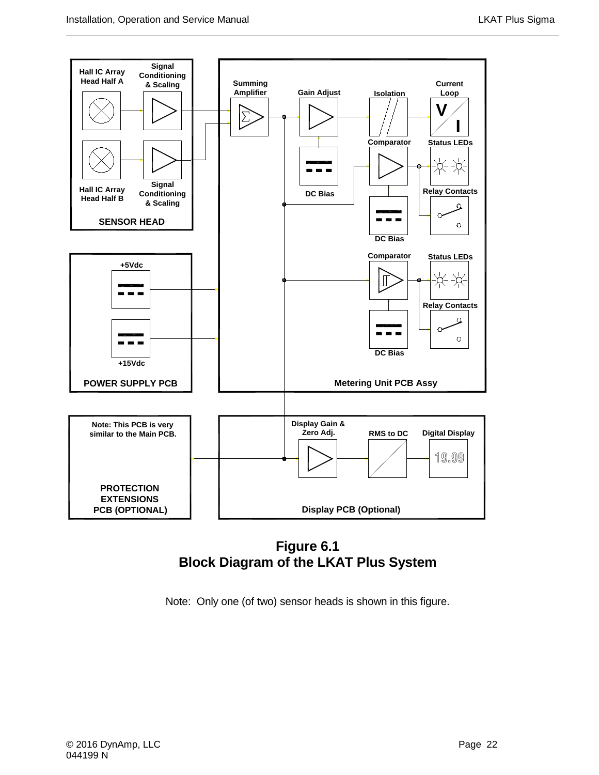

**Figure 6.1 Block Diagram of the LKAT Plus System**

Note: Only one (of two) sensor heads is shown in this figure.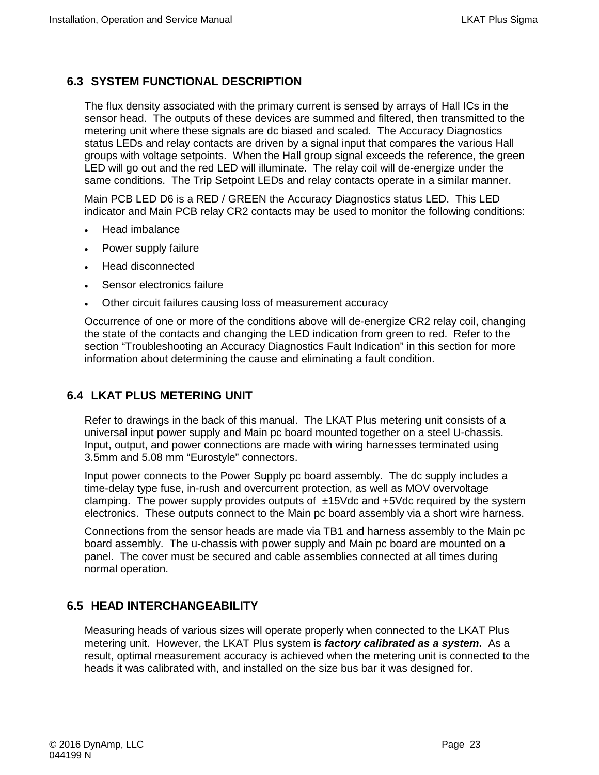# <span id="page-36-0"></span>**6.3 SYSTEM FUNCTIONAL DESCRIPTION**

The flux density associated with the primary current is sensed by arrays of Hall ICs in the sensor head. The outputs of these devices are summed and filtered, then transmitted to the metering unit where these signals are dc biased and scaled. The Accuracy Diagnostics status LEDs and relay contacts are driven by a signal input that compares the various Hall groups with voltage setpoints. When the Hall group signal exceeds the reference, the green LED will go out and the red LED will illuminate. The relay coil will de-energize under the same conditions. The Trip Setpoint LEDs and relay contacts operate in a similar manner.

Main PCB LED D6 is a RED / GREEN the Accuracy Diagnostics status LED. This LED indicator and Main PCB relay CR2 contacts may be used to monitor the following conditions:

- Head imbalance
- Power supply failure
- Head disconnected
- Sensor electronics failure
- Other circuit failures causing loss of measurement accuracy

Occurrence of one or more of the conditions above will de-energize CR2 relay coil, changing the state of the contacts and changing the LED indication from green to red. Refer to the section "Troubleshooting an Accuracy Diagnostics Fault Indication" in this section for more information about determining the cause and eliminating a fault condition.

# <span id="page-36-1"></span>**6.4 LKAT PLUS METERING UNIT**

Refer to drawings in the back of this manual. The LKAT Plus metering unit consists of a universal input power supply and Main pc board mounted together on a steel U-chassis. Input, output, and power connections are made with wiring harnesses terminated using 3.5mm and 5.08 mm "Eurostyle" connectors.

Input power connects to the Power Supply pc board assembly. The dc supply includes a time-delay type fuse, in-rush and overcurrent protection, as well as MOV overvoltage clamping. The power supply provides outputs of  $\pm$ 15Vdc and  $\pm$ 5Vdc required by the system electronics. These outputs connect to the Main pc board assembly via a short wire harness.

Connections from the sensor heads are made via TB1 and harness assembly to the Main pc board assembly. The u-chassis with power supply and Main pc board are mounted on a panel. The cover must be secured and cable assemblies connected at all times during normal operation.

# <span id="page-36-2"></span>**6.5 HEAD INTERCHANGEABILITY**

Measuring heads of various sizes will operate properly when connected to the LKAT Plus metering unit. However, the LKAT Plus system is *factory calibrated as a system***.** As a result, optimal measurement accuracy is achieved when the metering unit is connected to the heads it was calibrated with, and installed on the size bus bar it was designed for.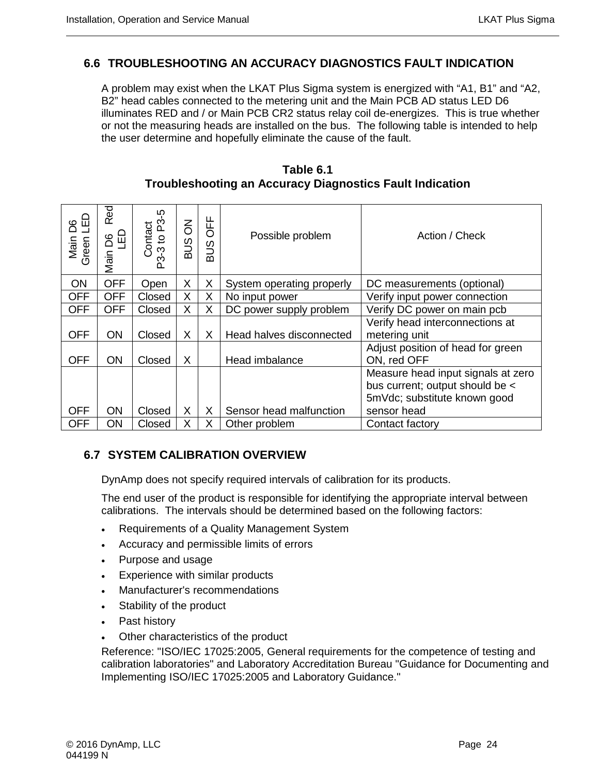# <span id="page-37-0"></span>**6.6 TROUBLESHOOTING AN ACCURACY DIAGNOSTICS FAULT INDICATION**

A problem may exist when the LKAT Plus Sigma system is energized with "A1, B1" and "A2, B2" head cables connected to the metering unit and the Main PCB AD status LED D6 illuminates RED and / or Main PCB CR2 status relay coil de-energizes. This is true whether or not the measuring heads are installed on the bus. The following table is intended to help the user determine and hopefully eliminate the cause of the fault.

# **Table 6.1 Troubleshooting an Accuracy Diagnostics Fault Indication**

| <u>۾</u><br>6G<br>Main<br>Green | Red<br>G<br>B<br>C<br>Main | ပှာ<br>Contact<br>-3 to P3-<br>ည် | $\overline{6}$<br>SUS | <b>OFF</b><br>$\tilde{\Xi}$<br>$\mathsf{m}$ | Possible problem          | Action / Check                                                                                                       |
|---------------------------------|----------------------------|-----------------------------------|-----------------------|---------------------------------------------|---------------------------|----------------------------------------------------------------------------------------------------------------------|
| ON                              | <b>OFF</b>                 | Open                              | X                     | X                                           | System operating properly | DC measurements (optional)                                                                                           |
| <b>OFF</b>                      | <b>OFF</b>                 | Closed                            | X                     | X                                           | No input power            | Verify input power connection                                                                                        |
| <b>OFF</b>                      | <b>OFF</b>                 | Closed                            | X                     | X                                           | DC power supply problem   | Verify DC power on main pcb                                                                                          |
| <b>OFF</b>                      | ON                         | Closed                            | X                     | X                                           | Head halves disconnected  | Verify head interconnections at<br>metering unit                                                                     |
| <b>OFF</b>                      | <b>ON</b>                  | Closed                            | X                     |                                             | Head imbalance            | Adjust position of head for green<br>ON, red OFF                                                                     |
| <b>OFF</b>                      | ON                         | Closed                            | X                     | X                                           | Sensor head malfunction   | Measure head input signals at zero<br>bus current; output should be <<br>5mVdc; substitute known good<br>sensor head |
| <b>OFF</b>                      | ON                         | Closed                            | X                     | X                                           | Other problem             | Contact factory                                                                                                      |

# <span id="page-37-1"></span>**6.7 SYSTEM CALIBRATION OVERVIEW**

DynAmp does not specify required intervals of calibration for its products.

The end user of the product is responsible for identifying the appropriate interval between calibrations. The intervals should be determined based on the following factors:

- Requirements of a Quality Management System
- Accuracy and permissible limits of errors
- Purpose and usage
- Experience with similar products
- Manufacturer's recommendations
- Stability of the product
- Past history
- Other characteristics of the product

Reference: "ISO/IEC 17025:2005, General requirements for the competence of testing and calibration laboratories" and Laboratory Accreditation Bureau "Guidance for Documenting and Implementing ISO/IEC 17025:2005 and Laboratory Guidance."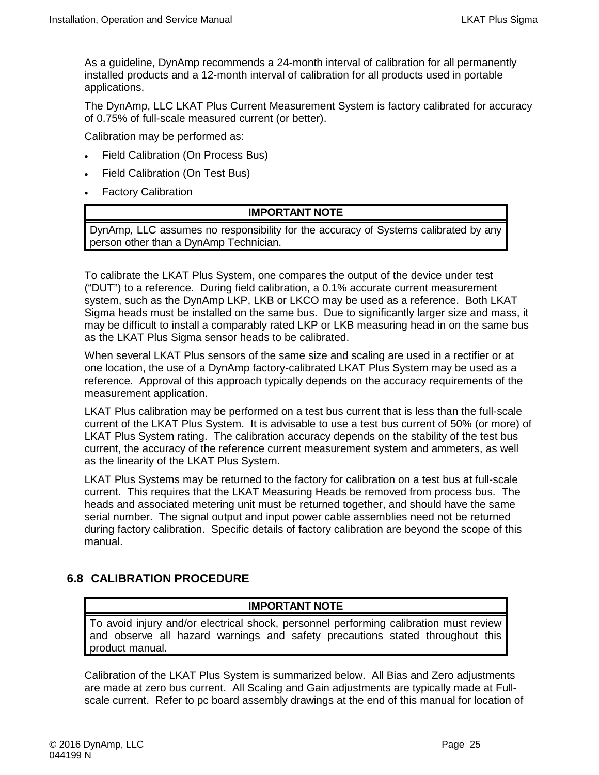As a guideline, DynAmp recommends a 24-month interval of calibration for all permanently installed products and a 12-month interval of calibration for all products used in portable applications.

The DynAmp, LLC LKAT Plus Current Measurement System is factory calibrated for accuracy of 0.75% of full-scale measured current (or better).

Calibration may be performed as:

- Field Calibration (On Process Bus)
- Field Calibration (On Test Bus)
- Factory Calibration

#### **IMPORTANT NOTE**

DynAmp, LLC assumes no responsibility for the accuracy of Systems calibrated by any person other than a DynAmp Technician.

To calibrate the LKAT Plus System, one compares the output of the device under test ("DUT") to a reference. During field calibration, a 0.1% accurate current measurement system, such as the DynAmp LKP, LKB or LKCO may be used as a reference. Both LKAT Sigma heads must be installed on the same bus. Due to significantly larger size and mass, it may be difficult to install a comparably rated LKP or LKB measuring head in on the same bus as the LKAT Plus Sigma sensor heads to be calibrated.

When several LKAT Plus sensors of the same size and scaling are used in a rectifier or at one location, the use of a DynAmp factory-calibrated LKAT Plus System may be used as a reference. Approval of this approach typically depends on the accuracy requirements of the measurement application.

LKAT Plus calibration may be performed on a test bus current that is less than the full-scale current of the LKAT Plus System. It is advisable to use a test bus current of 50% (or more) of LKAT Plus System rating. The calibration accuracy depends on the stability of the test bus current, the accuracy of the reference current measurement system and ammeters, as well as the linearity of the LKAT Plus System.

LKAT Plus Systems may be returned to the factory for calibration on a test bus at full-scale current. This requires that the LKAT Measuring Heads be removed from process bus. The heads and associated metering unit must be returned together, and should have the same serial number. The signal output and input power cable assemblies need not be returned during factory calibration. Specific details of factory calibration are beyond the scope of this manual.

# <span id="page-38-0"></span>**6.8 CALIBRATION PROCEDURE**

#### **IMPORTANT NOTE**

To avoid injury and/or electrical shock, personnel performing calibration must review and observe all hazard warnings and safety precautions stated throughout this product manual.

Calibration of the LKAT Plus System is summarized below. All Bias and Zero adjustments are made at zero bus current. All Scaling and Gain adjustments are typically made at Fullscale current. Refer to pc board assembly drawings at the end of this manual for location of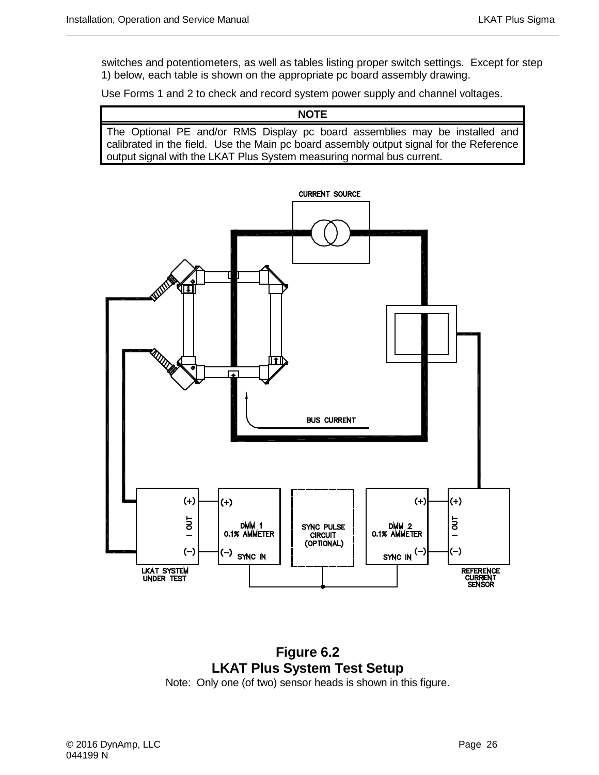switches and potentiometers, as well as tables listing proper switch settings. Except for step 1) below, each table is shown on the appropriate pc board assembly drawing.

Use Forms 1 and 2 to check and record system power supply and channel voltages.

**NOTE** The Optional PE and/or RMS Display pc board assemblies may be installed and calibrated in the field. Use the Main pc board assembly output signal for the Reference output signal with the LKAT Plus System measuring normal bus current.



**Figure 6.2 LKAT Plus System Test Setup**

Note: Only one (of two) sensor heads is shown in this figure.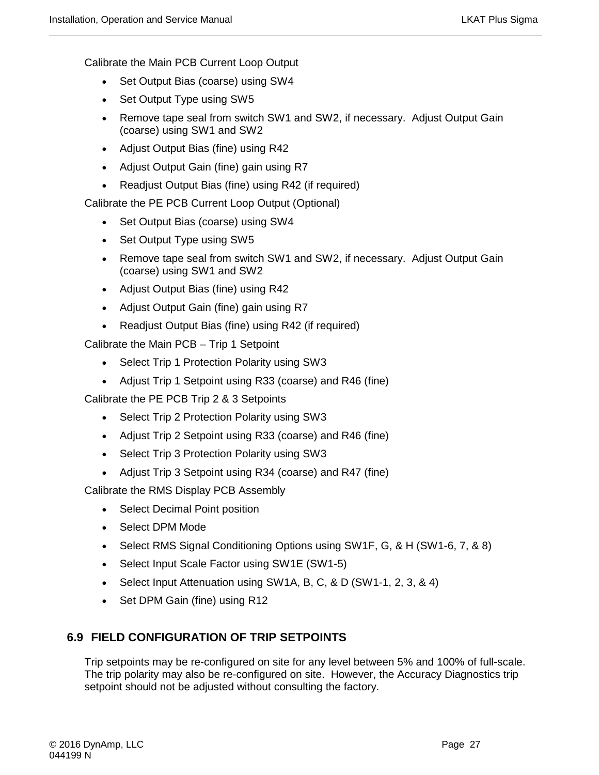Calibrate the Main PCB Current Loop Output

- Set Output Bias (coarse) using SW4
- Set Output Type using SW5
- Remove tape seal from switch SW1 and SW2, if necessary. Adjust Output Gain (coarse) using SW1 and SW2
- Adjust Output Bias (fine) using R42
- Adjust Output Gain (fine) gain using R7
- Readjust Output Bias (fine) using R42 (if required)

Calibrate the PE PCB Current Loop Output (Optional)

- Set Output Bias (coarse) using SW4
- Set Output Type using SW5
- Remove tape seal from switch SW1 and SW2, if necessary. Adjust Output Gain (coarse) using SW1 and SW2
- Adjust Output Bias (fine) using R42
- Adjust Output Gain (fine) gain using R7
- Readjust Output Bias (fine) using R42 (if required)

Calibrate the Main PCB – Trip 1 Setpoint

- Select Trip 1 Protection Polarity using SW3
- Adjust Trip 1 Setpoint using R33 (coarse) and R46 (fine)

Calibrate the PE PCB Trip 2 & 3 Setpoints

- Select Trip 2 Protection Polarity using SW3
- Adjust Trip 2 Setpoint using R33 (coarse) and R46 (fine)
- Select Trip 3 Protection Polarity using SW3
- Adjust Trip 3 Setpoint using R34 (coarse) and R47 (fine)

Calibrate the RMS Display PCB Assembly

- Select Decimal Point position
- Select DPM Mode
- Select RMS Signal Conditioning Options using SW1F, G, & H (SW1-6, 7, & 8)
- Select Input Scale Factor using SW1E (SW1-5)
- Select Input Attenuation using SW1A, B, C, & D (SW1-1, 2, 3, & 4)
- Set DPM Gain (fine) using R12

# <span id="page-40-0"></span>**6.9 FIELD CONFIGURATION OF TRIP SETPOINTS**

Trip setpoints may be re-configured on site for any level between 5% and 100% of full-scale. The trip polarity may also be re-configured on site. However, the Accuracy Diagnostics trip setpoint should not be adjusted without consulting the factory.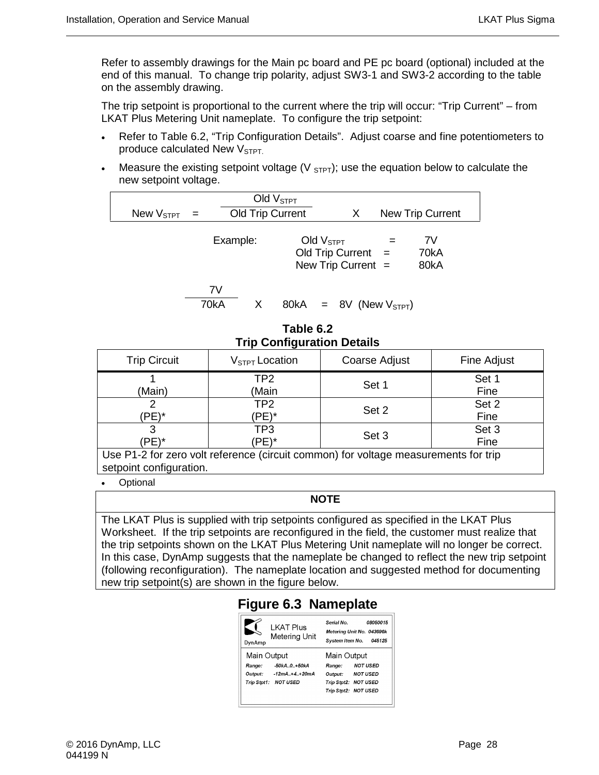Refer to assembly drawings for the Main pc board and PE pc board (optional) included at the end of this manual. To change trip polarity, adjust SW3-1 and SW3-2 according to the table on the assembly drawing.

The trip setpoint is proportional to the current where the trip will occur: "Trip Current" – from LKAT Plus Metering Unit nameplate. To configure the trip setpoint:

- Refer to Table 6.2, "Trip Configuration Details". Adjust coarse and fine potentiometers to produce calculated New  $V<sub>STPT</sub>$ .
- Measure the existing setpoint voltage ( $V_{\text{STFT}}$ ); use the equation below to calculate the new setpoint voltage.

| New $\rm V_{STPT}$ |      | Old Trip Current | Old $VSTPT$                   | X                                            | <b>New Trip Current</b> |
|--------------------|------|------------------|-------------------------------|----------------------------------------------|-------------------------|
|                    |      | Example:         | Old $VSTPT$                   | Old Trip Current $=$<br>New Trip Current $=$ | 7V<br>70kA<br>80kA      |
|                    | 70kA | 7V<br>X.         | $80kA = 8V$ (New $V_{STPT}$ ) |                                              |                         |

**Table 6.2 Trip Configuration Details** 

| <b>Trip Circuit</b>                                                                 | $V_{STPT}$ Location      | Coarse Adjust | Fine Adjust   |  |  |  |
|-------------------------------------------------------------------------------------|--------------------------|---------------|---------------|--|--|--|
| (Main)                                                                              | TP2<br>(Main             | Set 1         | Set 1<br>Fine |  |  |  |
| 'PE)*                                                                               | TP <sub>2</sub><br>(PE)* | Set 2         | Set 2<br>Fine |  |  |  |
| 'PE)*                                                                               | TP3<br>'PE)*             | Set 3         | Set 3<br>Fine |  |  |  |
| Use P1-2 for zero volt reference (circuit common) for voltage measurements for trip |                          |               |               |  |  |  |

setpoint configuration.

**Optional** 

#### **NOTE**

The LKAT Plus is supplied with trip setpoints configured as specified in the LKAT Plus Worksheet. If the trip setpoints are reconfigured in the field, the customer must realize that the trip setpoints shown on the LKAT Plus Metering Unit nameplate will no longer be correct. In this case, DynAmp suggests that the nameplate be changed to reflect the new trip setpoint (following reconfiguration). The nameplate location and suggested method for documenting new trip setpoint(s) are shown in the figure below.

# **Figure 6.3 Nameplate**

| <b>LKAT Plus</b><br>Meterina Unit<br>DynAmp | 08050015<br>Serial No.<br>Metering Unit No. 043696k<br>System Item No.<br>045125 |
|---------------------------------------------|----------------------------------------------------------------------------------|
| Main Output                                 | Main Output                                                                      |
| -50kA0+50kA<br>Range:                       | <b>NOT USED</b><br>Range:                                                        |
| Output: -12mA+4+20mA                        | <b>NOT USED</b><br>Output:                                                       |
| Trip Stpt1: NOT USED                        | Trip Stpt2: NOT USED                                                             |
|                                             | Trip Stpt2: NOT USED                                                             |
|                                             |                                                                                  |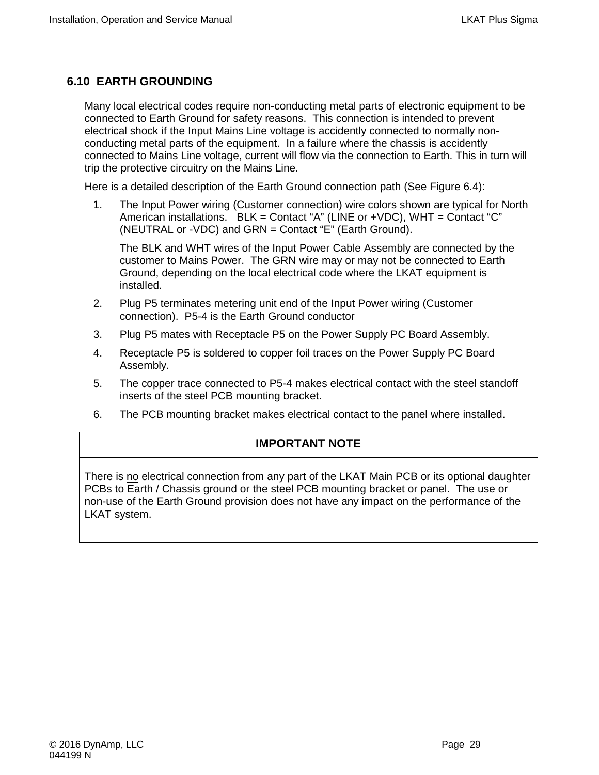# <span id="page-42-0"></span>**6.10 EARTH GROUNDING**

Many local electrical codes require non-conducting metal parts of electronic equipment to be connected to Earth Ground for safety reasons. This connection is intended to prevent electrical shock if the Input Mains Line voltage is accidently connected to normally nonconducting metal parts of the equipment. In a failure where the chassis is accidently connected to Mains Line voltage, current will flow via the connection to Earth. This in turn will trip the protective circuitry on the Mains Line.

Here is a detailed description of the Earth Ground connection path (See Figure 6.4):

1. The Input Power wiring (Customer connection) wire colors shown are typical for North American installations. BLK = Contact "A" (LINE or +VDC), WHT = Contact "C" (NEUTRAL or -VDC) and GRN = Contact "E" (Earth Ground).

The BLK and WHT wires of the Input Power Cable Assembly are connected by the customer to Mains Power. The GRN wire may or may not be connected to Earth Ground, depending on the local electrical code where the LKAT equipment is installed.

- 2. Plug P5 terminates metering unit end of the Input Power wiring (Customer connection). P5-4 is the Earth Ground conductor
- 3. Plug P5 mates with Receptacle P5 on the Power Supply PC Board Assembly.
- 4. Receptacle P5 is soldered to copper foil traces on the Power Supply PC Board Assembly.
- 5. The copper trace connected to P5-4 makes electrical contact with the steel standoff inserts of the steel PCB mounting bracket.
- 6. The PCB mounting bracket makes electrical contact to the panel where installed.

# **IMPORTANT NOTE**

There is no electrical connection from any part of the LKAT Main PCB or its optional daughter PCBs to Earth / Chassis ground or the steel PCB mounting bracket or panel. The use or non-use of the Earth Ground provision does not have any impact on the performance of the LKAT system.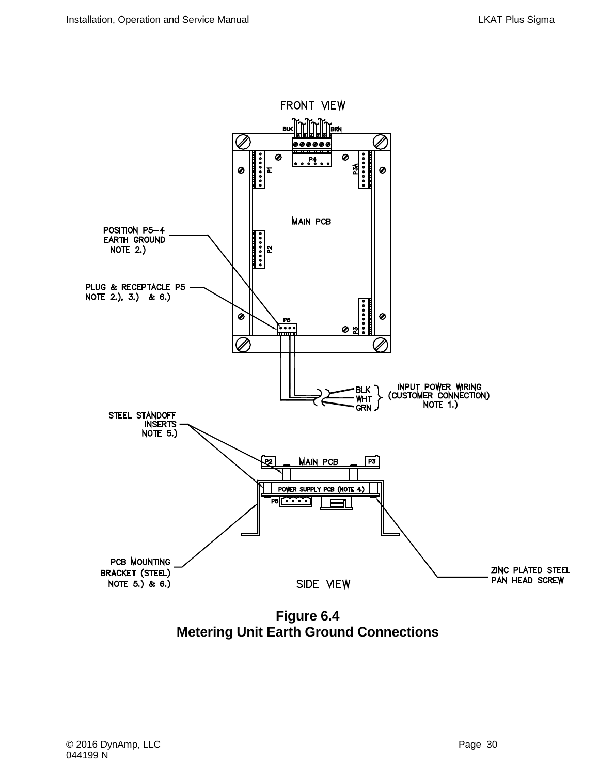

**Figure 6.4 Metering Unit Earth Ground Connections**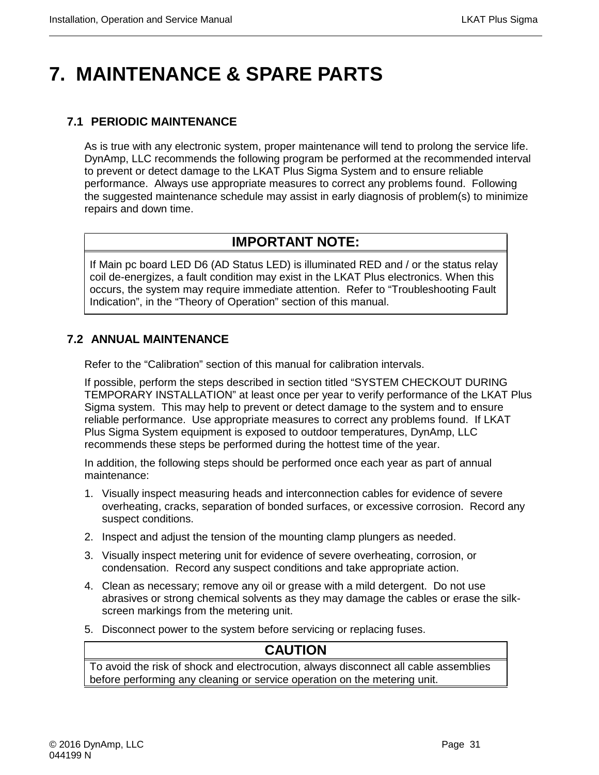# <span id="page-44-0"></span>**7. MAINTENANCE & SPARE PARTS**

# <span id="page-44-1"></span>**7.1 PERIODIC MAINTENANCE**

As is true with any electronic system, proper maintenance will tend to prolong the service life. DynAmp, LLC recommends the following program be performed at the recommended interval to prevent or detect damage to the LKAT Plus Sigma System and to ensure reliable performance. Always use appropriate measures to correct any problems found. Following the suggested maintenance schedule may assist in early diagnosis of problem(s) to minimize repairs and down time.

# **IMPORTANT NOTE:**

If Main pc board LED D6 (AD Status LED) is illuminated RED and / or the status relay coil de-energizes, a fault condition may exist in the LKAT Plus electronics. When this occurs, the system may require immediate attention. Refer to "Troubleshooting Fault Indication", in the "Theory of Operation" section of this manual.

# <span id="page-44-2"></span>**7.2 ANNUAL MAINTENANCE**

Refer to the "Calibration" section of this manual for calibration intervals.

If possible, perform the steps described in section titled "SYSTEM CHECKOUT DURING TEMPORARY INSTALLATION" at least once per year to verify performance of the LKAT Plus Sigma system. This may help to prevent or detect damage to the system and to ensure reliable performance. Use appropriate measures to correct any problems found. If LKAT Plus Sigma System equipment is exposed to outdoor temperatures, DynAmp, LLC recommends these steps be performed during the hottest time of the year.

In addition, the following steps should be performed once each year as part of annual maintenance:

- 1. Visually inspect measuring heads and interconnection cables for evidence of severe overheating, cracks, separation of bonded surfaces, or excessive corrosion. Record any suspect conditions.
- 2. Inspect and adjust the tension of the mounting clamp plungers as needed.
- 3. Visually inspect metering unit for evidence of severe overheating, corrosion, or condensation. Record any suspect conditions and take appropriate action.
- 4. Clean as necessary; remove any oil or grease with a mild detergent. Do not use abrasives or strong chemical solvents as they may damage the cables or erase the silkscreen markings from the metering unit.
- 5. Disconnect power to the system before servicing or replacing fuses.

# **CAUTION**

To avoid the risk of shock and electrocution, always disconnect all cable assemblies before performing any cleaning or service operation on the metering unit.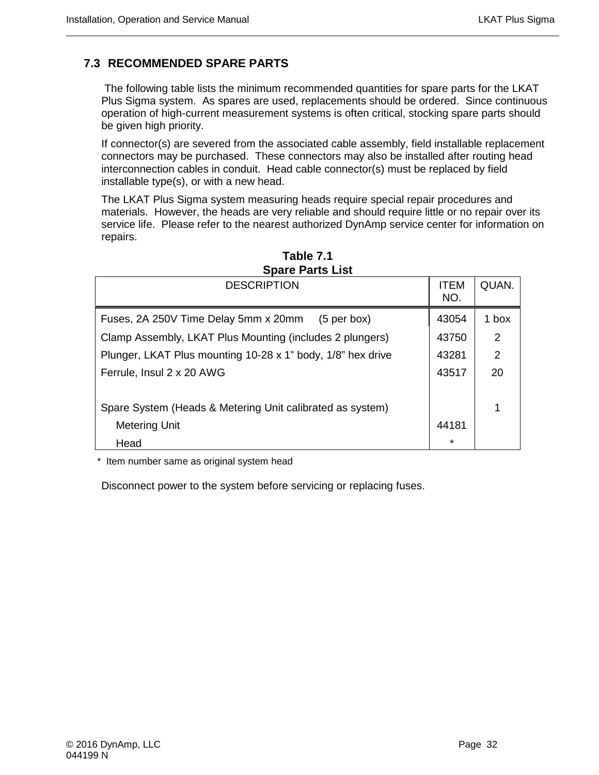# <span id="page-45-0"></span>**7.3 RECOMMENDED SPARE PARTS**

The following table lists the minimum recommended quantities for spare parts for the LKAT Plus Sigma system. As spares are used, replacements should be ordered. Since continuous operation of high-current measurement systems is often critical, stocking spare parts should be given high priority.

If connector(s) are severed from the associated cable assembly, field installable replacement connectors may be purchased. These connectors may also be installed after routing head interconnection cables in conduit. Head cable connector(s) must be replaced by field installable type(s), or with a new head.

The LKAT Plus Sigma system measuring heads require special repair procedures and materials. However, the heads are very reliable and should require little or no repair over its service life. Please refer to the nearest authorized DynAmp service center for information on repairs.

| <b>DESCRIPTION</b>                                          | <b>ITEM</b><br>NO. | QUAN.         |
|-------------------------------------------------------------|--------------------|---------------|
| Fuses, 2A 250V Time Delay 5mm x 20mm<br>$(5$ per box)       | 43054              | 1 box         |
| Clamp Assembly, LKAT Plus Mounting (includes 2 plungers)    | 43750              | $\mathcal{P}$ |
| Plunger, LKAT Plus mounting 10-28 x 1" body, 1/8" hex drive | 43281              | 2             |
| Ferrule, Insul 2 x 20 AWG                                   | 43517              | 20            |
|                                                             |                    |               |
| Spare System (Heads & Metering Unit calibrated as system)   |                    |               |
| <b>Metering Unit</b>                                        | 44181              |               |
| Head                                                        | $\star$            |               |

**Table 7.1 Spare Parts List**

\* Item number same as original system head

Disconnect power to the system before servicing or replacing fuses.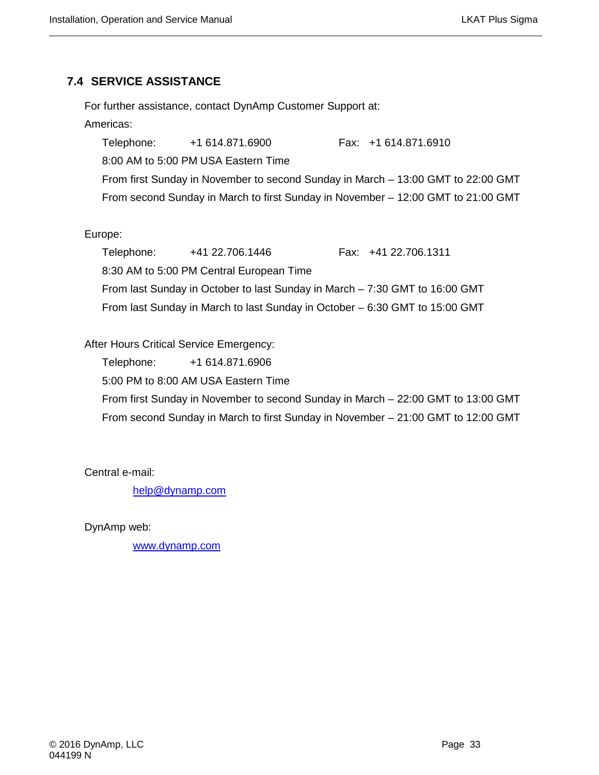# <span id="page-46-0"></span>**7.4 SERVICE ASSISTANCE**

For further assistance, contact DynAmp Customer Support at:

### Americas:

Telephone: +1 614.871.6900 Fax: +1 614.871.6910 8:00 AM to 5:00 PM USA Eastern Time From first Sunday in November to second Sunday in March – 13:00 GMT to 22:00 GMT From second Sunday in March to first Sunday in November – 12:00 GMT to 21:00 GMT

# Europe:

Telephone: +41 22.706.1446 Fax: +41 22.706.1311 8:30 AM to 5:00 PM Central European Time From last Sunday in October to last Sunday in March – 7:30 GMT to 16:00 GMT From last Sunday in March to last Sunday in October – 6:30 GMT to 15:00 GMT

# After Hours Critical Service Emergency:

Telephone: +1 614.871.6906

5:00 PM to 8:00 AM USA Eastern Time

From first Sunday in November to second Sunday in March – 22:00 GMT to 13:00 GMT From second Sunday in March to first Sunday in November – 21:00 GMT to 12:00 GMT

Central e-mail:

[help@dynamp.com](mailto:help@dynamp.com)

DynAmp web:

[www.dynamp.com](http://www.dynamp.com/)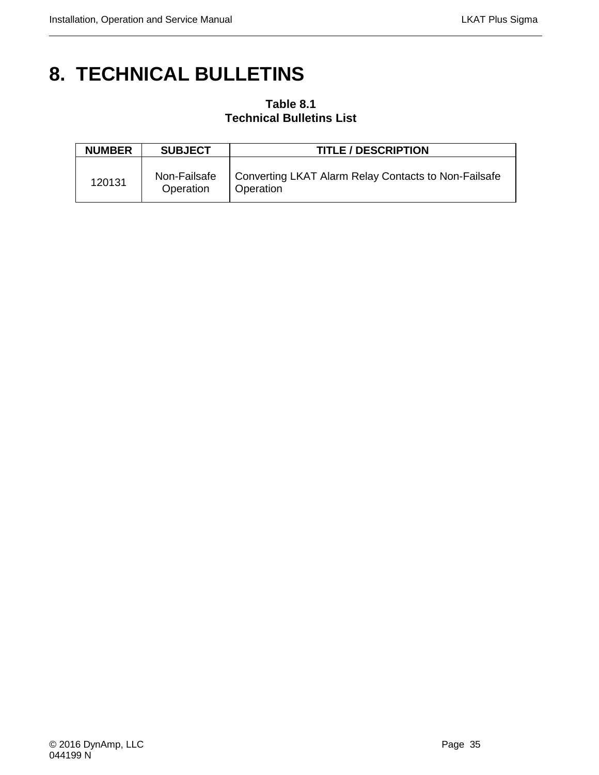# <span id="page-48-0"></span>**8. TECHNICAL BULLETINS**

# **Table 8.1 Technical Bulletins List**

| <b>NUMBER</b> | <b>SUBJECT</b>            | <b>TITLE / DESCRIPTION</b>                                        |
|---------------|---------------------------|-------------------------------------------------------------------|
| 120131        | Non-Failsafe<br>Operation | Converting LKAT Alarm Relay Contacts to Non-Failsafe<br>Operation |